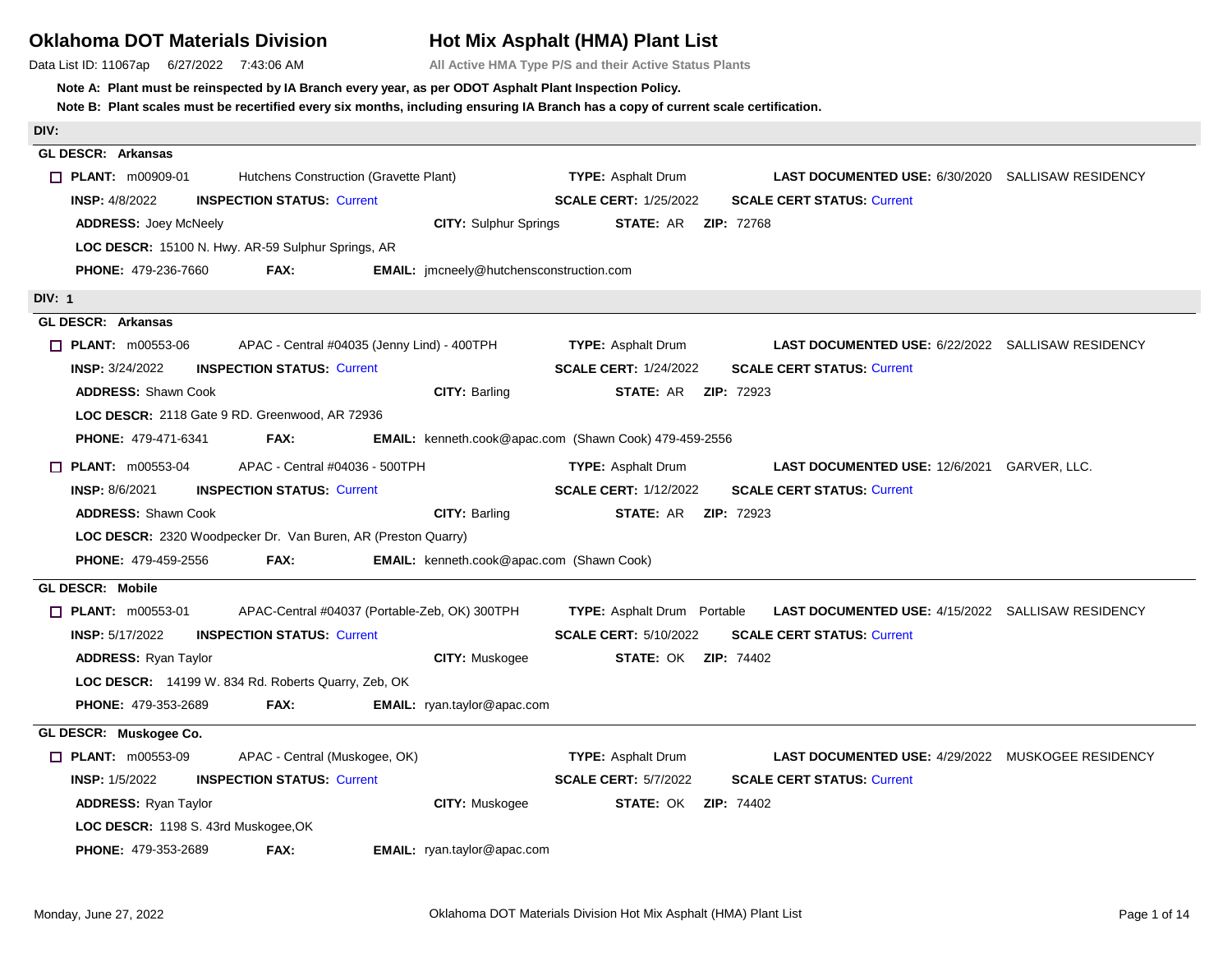## **Oklahoma DOT Materials Division**

Data List ID: 11067ap 6/27/2022 7:43:06 AM

# **Hot Mix Asphalt (HMA) Plant List**

**All Active HMA Type P/S and their Active Status Plants**

### **Note A: Plant must be reinspected by IA Branch every year, as per ODOT Asphalt Plant Inspection Policy.**

| DIV:                                                                       |                                           |                                                        |                                                          |  |
|----------------------------------------------------------------------------|-------------------------------------------|--------------------------------------------------------|----------------------------------------------------------|--|
| <b>GL DESCR: Arkansas</b>                                                  |                                           |                                                        |                                                          |  |
| $\Box$ PLANT: m00909-01<br>Hutchens Construction (Gravette Plant)          |                                           | <b>TYPE:</b> Asphalt Drum                              | <b>LAST DOCUMENTED USE: 6/30/2020 SALLISAW RESIDENCY</b> |  |
| <b>INSP: 4/8/2022</b><br><b>INSPECTION STATUS: Current</b>                 |                                           | <b>SCALE CERT: 1/25/2022</b>                           | <b>SCALE CERT STATUS: Current</b>                        |  |
| <b>ADDRESS: Joey McNeely</b>                                               | <b>CITY:</b> Sulphur Springs              | <b>STATE: AR ZIP: 72768</b>                            |                                                          |  |
| LOC DESCR: 15100 N. Hwy. AR-59 Sulphur Springs, AR                         |                                           |                                                        |                                                          |  |
| <b>PHONE: 479-236-7660</b><br>FAX:                                         | EMAIL: jmcneely@hutchensconstruction.com  |                                                        |                                                          |  |
| DIV: 1                                                                     |                                           |                                                        |                                                          |  |
| <b>GL DESCR: Arkansas</b>                                                  |                                           |                                                        |                                                          |  |
| APAC - Central #04035 (Jenny Lind) - 400TPH<br>$\Box$ PLANT: $m00553-06$   |                                           | <b>TYPE: Asphalt Drum</b>                              | LAST DOCUMENTED USE: 6/22/2022 SALLISAW RESIDENCY        |  |
| <b>INSP: 3/24/2022</b><br><b>INSPECTION STATUS: Current</b>                |                                           | <b>SCALE CERT: 1/24/2022</b>                           | <b>SCALE CERT STATUS: Current</b>                        |  |
| <b>ADDRESS: Shawn Cook</b>                                                 | <b>CITY: Barling</b>                      | <b>STATE: AR ZIP: 72923</b>                            |                                                          |  |
| LOC DESCR: 2118 Gate 9 RD. Greenwood, AR 72936                             |                                           |                                                        |                                                          |  |
| <b>PHONE: 479-471-6341</b><br>FAX:                                         |                                           | EMAIL: kenneth.cook@apac.com (Shawn Cook) 479-459-2556 |                                                          |  |
| APAC - Central #04036 - 500TPH<br>$\Box$ PLANT: m00553-04                  |                                           | <b>TYPE:</b> Asphalt Drum                              | <b>LAST DOCUMENTED USE: 12/6/2021 GARVER, LLC.</b>       |  |
| <b>INSP: 8/6/2021</b><br><b>INSPECTION STATUS: Current</b>                 |                                           | <b>SCALE CERT: 1/12/2022</b>                           | <b>SCALE CERT STATUS: Current</b>                        |  |
| <b>ADDRESS: Shawn Cook</b>                                                 | CITY: Barling                             | <b>STATE: AR ZIP: 72923</b>                            |                                                          |  |
| LOC DESCR: 2320 Woodpecker Dr. Van Buren, AR (Preston Quarry)              |                                           |                                                        |                                                          |  |
| FAX:<br><b>PHONE: 479-459-2556</b>                                         | EMAIL: kenneth.cook@apac.com (Shawn Cook) |                                                        |                                                          |  |
| <b>GL DESCR: Mobile</b>                                                    |                                           |                                                        |                                                          |  |
| $\Box$ PLANT: $m00553-01$<br>APAC-Central #04037 (Portable-Zeb, OK) 300TPH |                                           | <b>TYPE:</b> Asphalt Drum Portable                     | <b>LAST DOCUMENTED USE: 4/15/2022 SALLISAW RESIDENCY</b> |  |
| <b>INSP: 5/17/2022</b><br><b>INSPECTION STATUS: Current</b>                |                                           | <b>SCALE CERT: 5/10/2022</b>                           | <b>SCALE CERT STATUS: Current</b>                        |  |
| <b>ADDRESS: Ryan Taylor</b>                                                | <b>CITY: Muskogee</b>                     | <b>STATE: OK ZIP: 74402</b>                            |                                                          |  |
| LOC DESCR: 14199 W. 834 Rd. Roberts Quarry, Zeb, OK                        |                                           |                                                        |                                                          |  |
| <b>PHONE: 479-353-2689</b><br>FAX:                                         | EMAIL: ryan.taylor@apac.com               |                                                        |                                                          |  |
| GL DESCR: Muskogee Co.                                                     |                                           |                                                        |                                                          |  |
| <b>T PLANT: m00553-09</b><br>APAC - Central (Muskogee, OK)                 |                                           | <b>TYPE: Asphalt Drum</b>                              | <b>LAST DOCUMENTED USE: 4/29/2022 MUSKOGEE RESIDENCY</b> |  |
| <b>INSP: 1/5/2022</b><br><b>INSPECTION STATUS: Current</b>                 |                                           | <b>SCALE CERT: 5/7/2022</b>                            | <b>SCALE CERT STATUS: Current</b>                        |  |
| <b>ADDRESS: Ryan Taylor</b>                                                | <b>CITY: Muskogee</b>                     | <b>STATE: OK ZIP: 74402</b>                            |                                                          |  |
| LOC DESCR: 1198 S. 43rd Muskogee, OK                                       |                                           |                                                        |                                                          |  |
| <b>PHONE: 479-353-2689</b><br>FAX:                                         | EMAIL: ryan.taylor@apac.com               |                                                        |                                                          |  |
|                                                                            |                                           |                                                        |                                                          |  |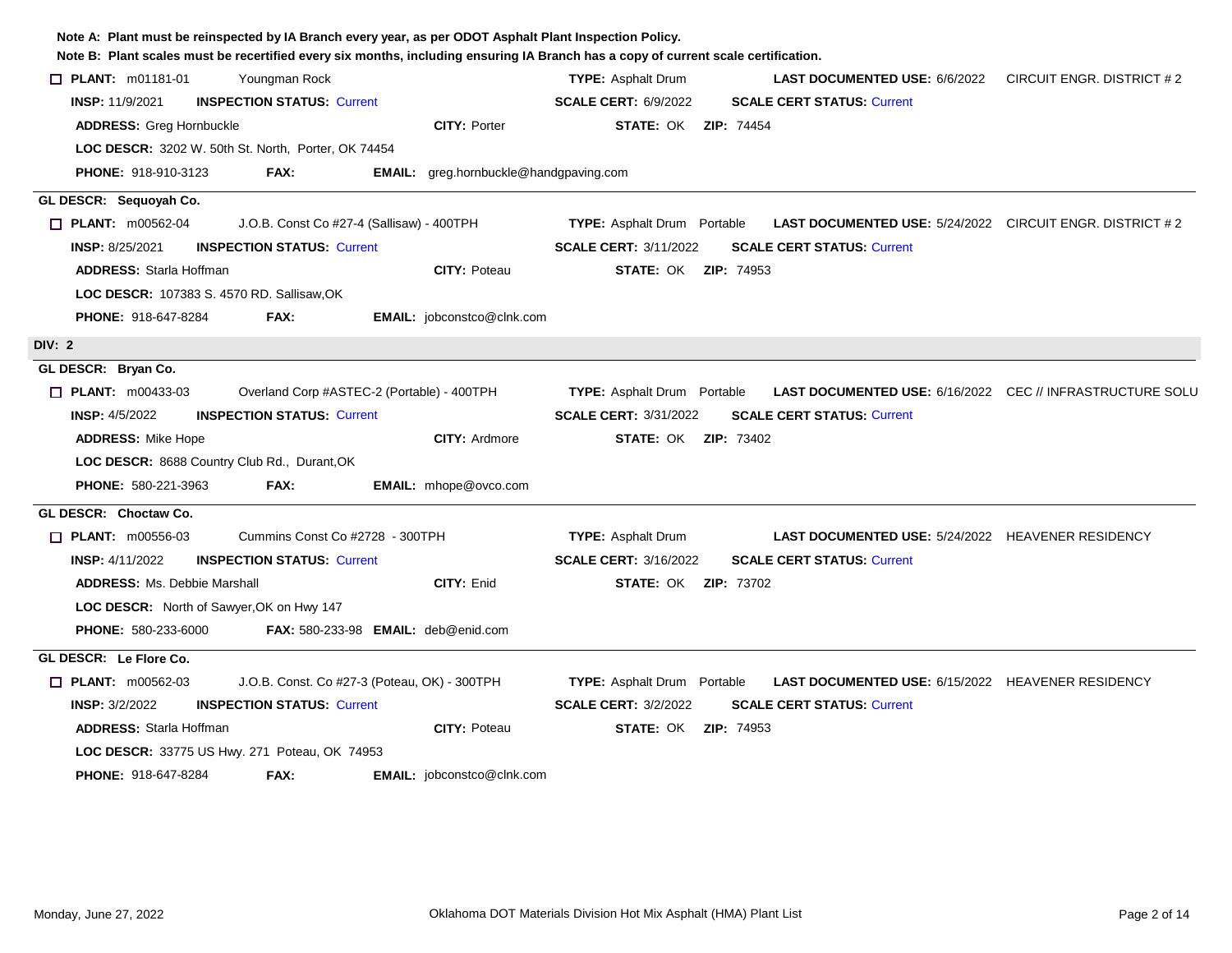| Note B: Plant scales must be recertified every six months, including ensuring IA Branch has a copy of current scale certification. |                                                                                                        |                           |
|------------------------------------------------------------------------------------------------------------------------------------|--------------------------------------------------------------------------------------------------------|---------------------------|
| <b>D</b> PLANT: m01181-01<br>Youngman Rock                                                                                         | <b>TYPE: Asphalt Drum</b><br>LAST DOCUMENTED USE: 6/6/2022                                             | CIRCUIT ENGR. DISTRICT #2 |
| <b>INSPECTION STATUS: Current</b><br><b>INSP: 11/9/2021</b>                                                                        | <b>SCALE CERT: 6/9/2022</b><br><b>SCALE CERT STATUS: Current</b>                                       |                           |
| <b>CITY: Porter</b><br><b>ADDRESS: Greg Hornbuckle</b>                                                                             | <b>STATE: OK ZIP: 74454</b>                                                                            |                           |
| LOC DESCR: 3202 W. 50th St. North, Porter, OK 74454                                                                                |                                                                                                        |                           |
| <b>PHONE: 918-910-3123</b><br>FAX:<br>EMAIL: greg.hornbuckle@handgpaving.com                                                       |                                                                                                        |                           |
| GL DESCR: Sequoyah Co.                                                                                                             |                                                                                                        |                           |
| $\Box$ PLANT: m00562-04<br>J.O.B. Const Co #27-4 (Sallisaw) - 400TPH                                                               | <b>TYPE:</b> Asphalt Drum Portable<br><b>LAST DOCUMENTED USE:</b> 5/24/2022 CIRCUIT ENGR. DISTRICT # 2 |                           |
| <b>INSP: 8/25/2021</b><br><b>INSPECTION STATUS: Current</b>                                                                        | <b>SCALE CERT: 3/11/2022</b><br><b>SCALE CERT STATUS: Current</b>                                      |                           |
| <b>ADDRESS: Starla Hoffman</b><br><b>CITY: Poteau</b>                                                                              | <b>STATE: OK ZIP: 74953</b>                                                                            |                           |
| <b>LOC DESCR: 107383 S. 4570 RD. Sallisaw, OK</b>                                                                                  |                                                                                                        |                           |
| <b>PHONE: 918-647-8284</b><br><b>EMAIL:</b> jobconstco@clnk.com<br>FAX:                                                            |                                                                                                        |                           |
| DIV: 2                                                                                                                             |                                                                                                        |                           |
| GL DESCR: Bryan Co.                                                                                                                |                                                                                                        |                           |
| $\Box$ PLANT: m00433-03<br>Overland Corp #ASTEC-2 (Portable) - 400TPH                                                              | <b>TYPE:</b> Asphalt Drum Portable<br>LAST DOCUMENTED USE: 6/16/2022 CEC // INFRASTRUCTURE SOLU        |                           |
| <b>INSP: 4/5/2022</b><br><b>INSPECTION STATUS: Current</b>                                                                         | <b>SCALE CERT: 3/31/2022</b><br><b>SCALE CERT STATUS: Current</b>                                      |                           |
| <b>CITY: Ardmore</b><br><b>ADDRESS: Mike Hope</b>                                                                                  | <b>STATE: OK ZIP: 73402</b>                                                                            |                           |
| LOC DESCR: 8688 Country Club Rd., Durant, OK                                                                                       |                                                                                                        |                           |
| <b>PHONE: 580-221-3963</b><br>FAX:<br><b>EMAIL:</b> mhope@ovco.com                                                                 |                                                                                                        |                           |
| GL DESCR: Choctaw Co.                                                                                                              |                                                                                                        |                           |
| $\Box$ PLANT: m00556-03<br>Cummins Const Co #2728 - 300TPH                                                                         | <b>TYPE: Asphalt Drum</b><br><b>LAST DOCUMENTED USE: 5/24/2022 HEAVENER RESIDENCY</b>                  |                           |
| <b>INSP: 4/11/2022</b><br><b>INSPECTION STATUS: Current</b>                                                                        | <b>SCALE CERT: 3/16/2022</b><br><b>SCALE CERT STATUS: Current</b>                                      |                           |
| <b>ADDRESS: Ms. Debbie Marshall</b><br>CITY: Enid                                                                                  | <b>STATE: OK ZIP: 73702</b>                                                                            |                           |
| <b>LOC DESCR:</b> North of Sawyer, OK on Hwy 147                                                                                   |                                                                                                        |                           |
| <b>PHONE: 580-233-6000</b><br><b>FAX: 580-233-98 EMAIL: deb@enid.com</b>                                                           |                                                                                                        |                           |
| GL DESCR: Le Flore Co.                                                                                                             |                                                                                                        |                           |
| $\Box$ PLANT: m00562-03<br>J.O.B. Const. Co #27-3 (Poteau, OK) - 300TPH                                                            | LAST DOCUMENTED USE: 6/15/2022 HEAVENER RESIDENCY<br><b>TYPE:</b> Asphalt Drum Portable                |                           |
| <b>INSPECTION STATUS: Current</b><br><b>INSP: 3/2/2022</b>                                                                         | <b>SCALE CERT: 3/2/2022</b><br><b>SCALE CERT STATUS: Current</b>                                       |                           |
| <b>ADDRESS: Starla Hoffman</b><br><b>CITY: Poteau</b>                                                                              | <b>STATE: OK ZIP: 74953</b>                                                                            |                           |
| LOC DESCR: 33775 US Hwy. 271 Poteau, OK 74953                                                                                      |                                                                                                        |                           |
| <b>PHONE: 918-647-8284</b><br>FAX:<br><b>EMAIL:</b> jobconstco@clnk.com                                                            |                                                                                                        |                           |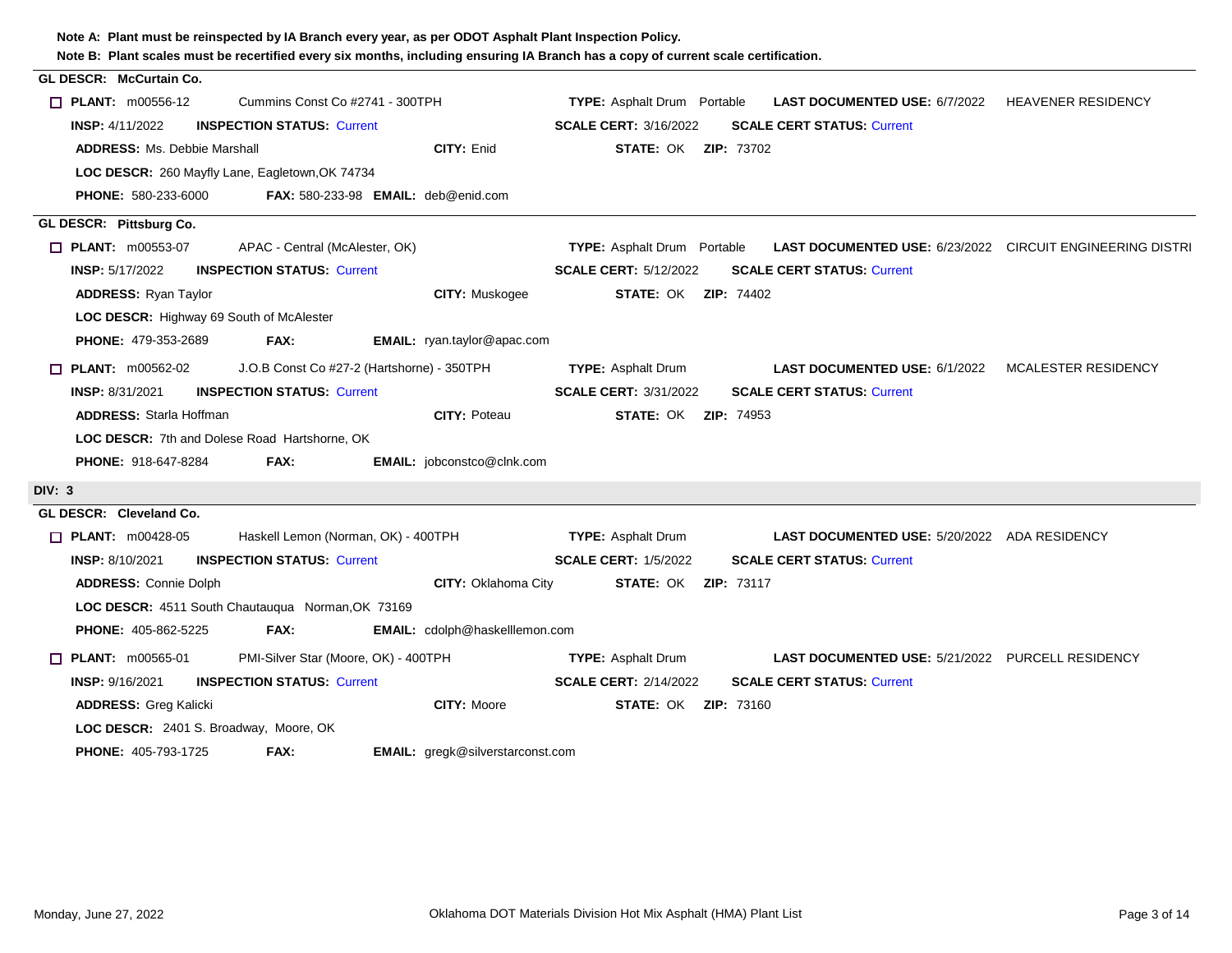|        | ivide D. Thank scales must be recentified every six months, including ensuring in Dianch has a copy of current scale centification |                                                                                                        |  |
|--------|------------------------------------------------------------------------------------------------------------------------------------|--------------------------------------------------------------------------------------------------------|--|
|        | <b>GL DESCR: McCurtain Co.</b>                                                                                                     |                                                                                                        |  |
|        | Cummins Const Co #2741 - 300TPH<br>$\Box$ PLANT: m00556-12                                                                         | <b>TYPE:</b> Asphalt Drum Portable<br><b>LAST DOCUMENTED USE: 6/7/2022 HEAVENER RESIDENCY</b>          |  |
|        | <b>INSP: 4/11/2022</b><br><b>INSPECTION STATUS: Current</b>                                                                        | <b>SCALE CERT: 3/16/2022</b><br><b>SCALE CERT STATUS: Current</b>                                      |  |
|        | <b>CITY: Enid</b><br><b>ADDRESS: Ms. Debbie Marshall</b>                                                                           | <b>STATE: OK ZIP: 73702</b>                                                                            |  |
|        | LOC DESCR: 260 Mayfly Lane, Eagletown, OK 74734                                                                                    |                                                                                                        |  |
|        | <b>PHONE:</b> 580-233-6000 <b>FAX:</b> 580-233-98 <b>EMAIL:</b> deb@enid.com                                                       |                                                                                                        |  |
|        | GL DESCR: Pittsburg Co.                                                                                                            |                                                                                                        |  |
|        | $\Box$ PLANT: m00553-07<br>APAC - Central (McAlester, OK)                                                                          | <b>TYPE:</b> Asphalt Drum Portable<br><b>LAST DOCUMENTED USE: 6/23/2022 CIRCUIT ENGINEERING DISTRI</b> |  |
|        | <b>INSP: 5/17/2022</b><br><b>INSPECTION STATUS: Current</b>                                                                        | <b>SCALE CERT: 5/12/2022</b><br><b>SCALE CERT STATUS: Current</b>                                      |  |
|        | <b>ADDRESS: Ryan Taylor</b><br>CITY: Muskogee                                                                                      | <b>STATE: OK ZIP: 74402</b>                                                                            |  |
|        | LOC DESCR: Highway 69 South of McAlester                                                                                           |                                                                                                        |  |
|        | <b>PHONE: 479-353-2689</b><br><b>FAX:</b><br><b>EMAIL:</b> ryan.taylor@apac.com                                                    |                                                                                                        |  |
|        | J.O.B Const Co #27-2 (Hartshorne) - 350TPH<br>$\Box$ PLANT: m00562-02                                                              | <b>LAST DOCUMENTED USE: 6/1/2022 MCALESTER RESIDENCY</b><br><b>TYPE:</b> Asphalt Drum                  |  |
|        | <b>INSPECTION STATUS: Current</b><br><b>INSP: 8/31/2021</b>                                                                        | <b>SCALE CERT: 3/31/2022</b><br><b>SCALE CERT STATUS: Current</b>                                      |  |
|        | <b>ADDRESS: Starla Hoffman</b><br><b>CITY: Poteau</b>                                                                              | <b>STATE: OK ZIP: 74953</b>                                                                            |  |
|        | <b>LOC DESCR: 7th and Dolese Road Hartshorne, OK</b>                                                                               |                                                                                                        |  |
|        | FAX:<br>EMAIL: jobconstco@clnk.com<br><b>PHONE: 918-647-8284</b>                                                                   |                                                                                                        |  |
|        |                                                                                                                                    |                                                                                                        |  |
| DIV: 3 |                                                                                                                                    |                                                                                                        |  |
|        | GL DESCR: Cleveland Co.                                                                                                            |                                                                                                        |  |
|        | $\Box$ PLANT: m00428-05<br>Haskell Lemon (Norman, OK) - 400TPH                                                                     | <b>TYPE: Asphalt Drum</b><br><b>LAST DOCUMENTED USE: 5/20/2022 ADA RESIDENCY</b>                       |  |
|        | <b>INSP: 8/10/2021</b><br><b>INSPECTION STATUS: Current</b>                                                                        | <b>SCALE CERT: 1/5/2022</b><br><b>SCALE CERT STATUS: Current</b>                                       |  |
|        | <b>ADDRESS: Connie Dolph</b><br>CITY: Oklahoma City                                                                                | <b>STATE: OK ZIP: 73117</b>                                                                            |  |
|        | LOC DESCR: 4511 South Chautauqua Norman, OK 73169                                                                                  |                                                                                                        |  |
|        | <b>PHONE: 405-862-5225</b><br><b>FAX:</b><br>EMAIL: cdolph@haskelllemon.com                                                        |                                                                                                        |  |
|        | PMI-Silver Star (Moore, OK) - 400TPH<br>$\Box$ PLANT: m00565-01                                                                    | <b>TYPE:</b> Asphalt Drum<br><b>LAST DOCUMENTED USE: 5/21/2022 PURCELL RESIDENCY</b>                   |  |
|        | <b>INSP: 9/16/2021</b><br><b>INSPECTION STATUS: Current</b>                                                                        | <b>SCALE CERT STATUS: Current</b><br><b>SCALE CERT: 2/14/2022</b>                                      |  |
|        | CITY: Moore<br><b>ADDRESS: Greg Kalicki</b>                                                                                        | <b>STATE: OK ZIP: 73160</b>                                                                            |  |
|        | LOC DESCR: 2401 S. Broadway, Moore, OK                                                                                             |                                                                                                        |  |
|        | <b>PHONE: 405-793-1725</b><br>FAX:<br><b>EMAIL:</b> gregk@silverstarconst.com                                                      |                                                                                                        |  |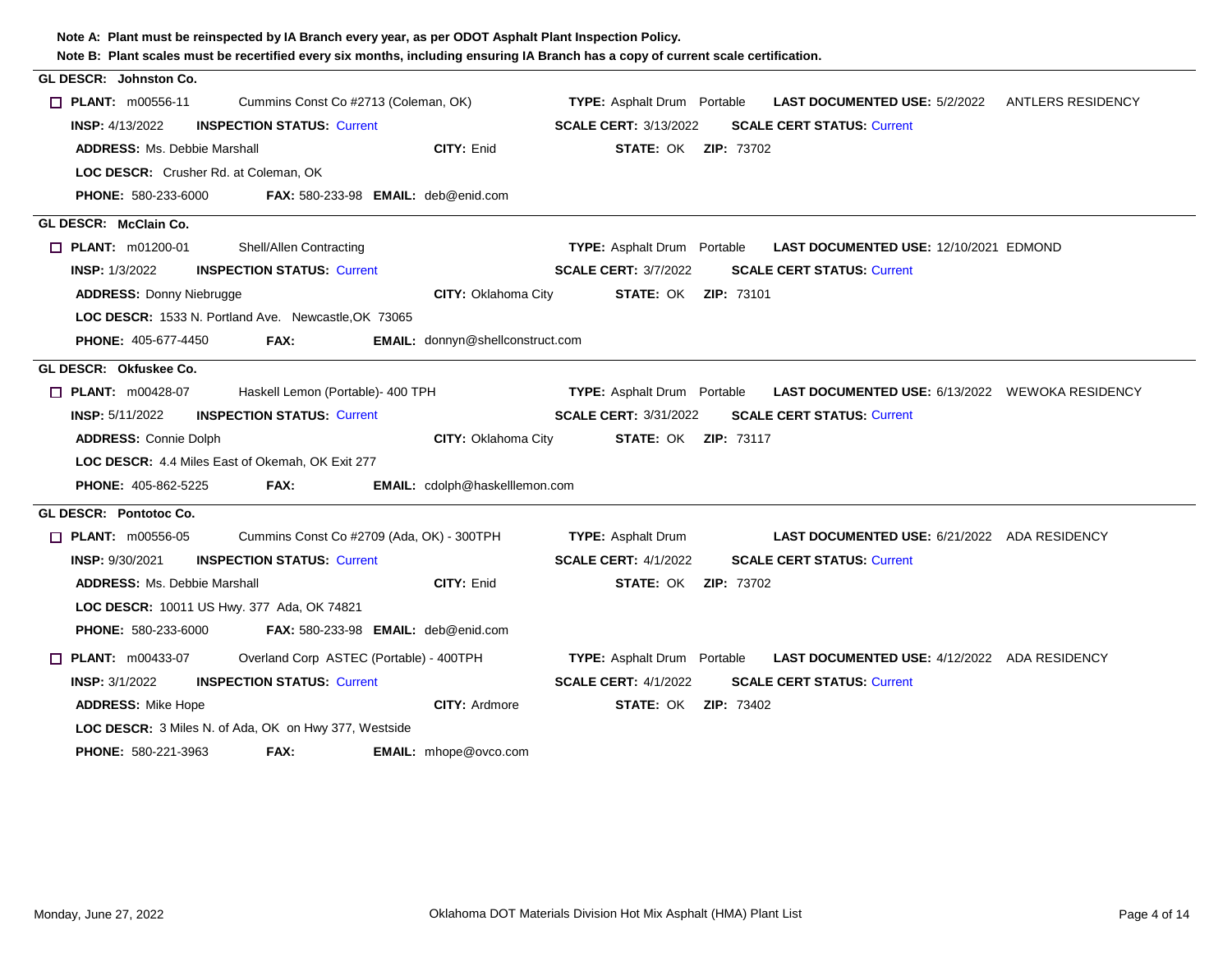| Note B: Plant scales must be recertified every six months, including ensuring IA Branch has a copy of current scale certification.<br><b>GL DESCR: Johnston Co.</b> |                                                              |                                         |                                    |                                                        |  |
|---------------------------------------------------------------------------------------------------------------------------------------------------------------------|--------------------------------------------------------------|-----------------------------------------|------------------------------------|--------------------------------------------------------|--|
|                                                                                                                                                                     |                                                              |                                         |                                    |                                                        |  |
| $\Box$ PLANT: $m00556-11$                                                                                                                                           | Cummins Const Co #2713 (Coleman, OK)                         |                                         | <b>TYPE:</b> Asphalt Drum Portable | <b>LAST DOCUMENTED USE: 5/2/2022 ANTLERS RESIDENCY</b> |  |
| <b>INSP:</b> 4/13/2022                                                                                                                                              | <b>INSPECTION STATUS: Current</b>                            |                                         | <b>SCALE CERT: 3/13/2022</b>       | <b>SCALE CERT STATUS: Current</b>                      |  |
| <b>ADDRESS: Ms. Debbie Marshall</b>                                                                                                                                 |                                                              | CITY: Enid                              | <b>STATE: OK ZIP: 73702</b>        |                                                        |  |
| LOC DESCR: Crusher Rd. at Coleman, OK                                                                                                                               |                                                              |                                         |                                    |                                                        |  |
| <b>PHONE: 580-233-6000</b>                                                                                                                                          | <b>FAX: 580-233-98 EMAIL: deb@enid.com</b>                   |                                         |                                    |                                                        |  |
| GL DESCR: McClain Co.                                                                                                                                               |                                                              |                                         |                                    |                                                        |  |
| $\Box$ PLANT: m01200-01                                                                                                                                             | Shell/Allen Contracting                                      |                                         | <b>TYPE:</b> Asphalt Drum Portable | LAST DOCUMENTED USE: 12/10/2021 EDMOND                 |  |
| <b>INSP: 1/3/2022</b>                                                                                                                                               | <b>INSPECTION STATUS: Current</b>                            |                                         | <b>SCALE CERT: 3/7/2022</b>        | <b>SCALE CERT STATUS: Current</b>                      |  |
| <b>ADDRESS: Donny Niebrugge</b>                                                                                                                                     |                                                              | CITY: Oklahoma City                     | <b>STATE: OK ZIP: 73101</b>        |                                                        |  |
|                                                                                                                                                                     | LOC DESCR: 1533 N. Portland Ave. Newcastle, OK 73065         |                                         |                                    |                                                        |  |
| <b>PHONE: 405-677-4450</b>                                                                                                                                          | FAX:                                                         | <b>EMAIL:</b> donnyn@shellconstruct.com |                                    |                                                        |  |
| GL DESCR: Okfuskee Co.                                                                                                                                              |                                                              |                                         |                                    |                                                        |  |
| $\Box$ PLANT: m00428-07                                                                                                                                             | Haskell Lemon (Portable)- 400 TPH                            |                                         | <b>TYPE:</b> Asphalt Drum Portable | LAST DOCUMENTED USE: 6/13/2022 WEWOKA RESIDENCY        |  |
| <b>INSP: 5/11/2022</b>                                                                                                                                              | <b>INSPECTION STATUS: Current</b>                            |                                         | <b>SCALE CERT: 3/31/2022</b>       | <b>SCALE CERT STATUS: Current</b>                      |  |
| <b>ADDRESS: Connie Dolph</b>                                                                                                                                        |                                                              | <b>CITY: Oklahoma City</b>              | <b>STATE: OK ZIP: 73117</b>        |                                                        |  |
| LOC DESCR: 4.4 Miles East of Okemah, OK Exit 277                                                                                                                    |                                                              |                                         |                                    |                                                        |  |
| <b>PHONE: 405-862-5225</b>                                                                                                                                          | FAX:                                                         | EMAIL: cdolph@haskelllemon.com          |                                    |                                                        |  |
| GL DESCR: Pontotoc Co.                                                                                                                                              |                                                              |                                         |                                    |                                                        |  |
| $\Box$ PLANT: m00556-05                                                                                                                                             | Cummins Const Co #2709 (Ada, OK) - 300TPH                    |                                         | <b>TYPE:</b> Asphalt Drum          | <b>LAST DOCUMENTED USE: 6/21/2022 ADA RESIDENCY</b>    |  |
| <b>INSP: 9/30/2021</b>                                                                                                                                              | <b>INSPECTION STATUS: Current</b>                            |                                         | <b>SCALE CERT: 4/1/2022</b>        | <b>SCALE CERT STATUS: Current</b>                      |  |
| <b>ADDRESS: Ms. Debbie Marshall</b>                                                                                                                                 |                                                              | <b>CITY: Enid</b>                       | <b>STATE: OK ZIP: 73702</b>        |                                                        |  |
| LOC DESCR: 10011 US Hwy. 377 Ada, OK 74821                                                                                                                          |                                                              |                                         |                                    |                                                        |  |
| <b>PHONE: 580-233-6000</b>                                                                                                                                          | <b>FAX:</b> 580-233-98 <b>EMAIL:</b> $deb@enid.com$          |                                         |                                    |                                                        |  |
| $\Box$ PLANT: m00433-07                                                                                                                                             | Overland Corp ASTEC (Portable) - 400TPH                      |                                         | <b>TYPE:</b> Asphalt Drum Portable | <b>LAST DOCUMENTED USE: 4/12/2022 ADA RESIDENCY</b>    |  |
| <b>INSP: 3/1/2022</b>                                                                                                                                               | <b>INSPECTION STATUS: Current</b>                            |                                         | <b>SCALE CERT: 4/1/2022</b>        | <b>SCALE CERT STATUS: Current</b>                      |  |
| <b>ADDRESS: Mike Hope</b>                                                                                                                                           |                                                              | <b>CITY: Ardmore</b>                    | <b>STATE: OK ZIP: 73402</b>        |                                                        |  |
|                                                                                                                                                                     | <b>LOC DESCR:</b> 3 Miles N. of Ada, OK on Hwy 377, Westside |                                         |                                    |                                                        |  |
| <b>PHONE: 580-221-3963</b>                                                                                                                                          | FAX:                                                         | EMAIL: mhope@ovco.com                   |                                    |                                                        |  |
|                                                                                                                                                                     |                                                              |                                         |                                    |                                                        |  |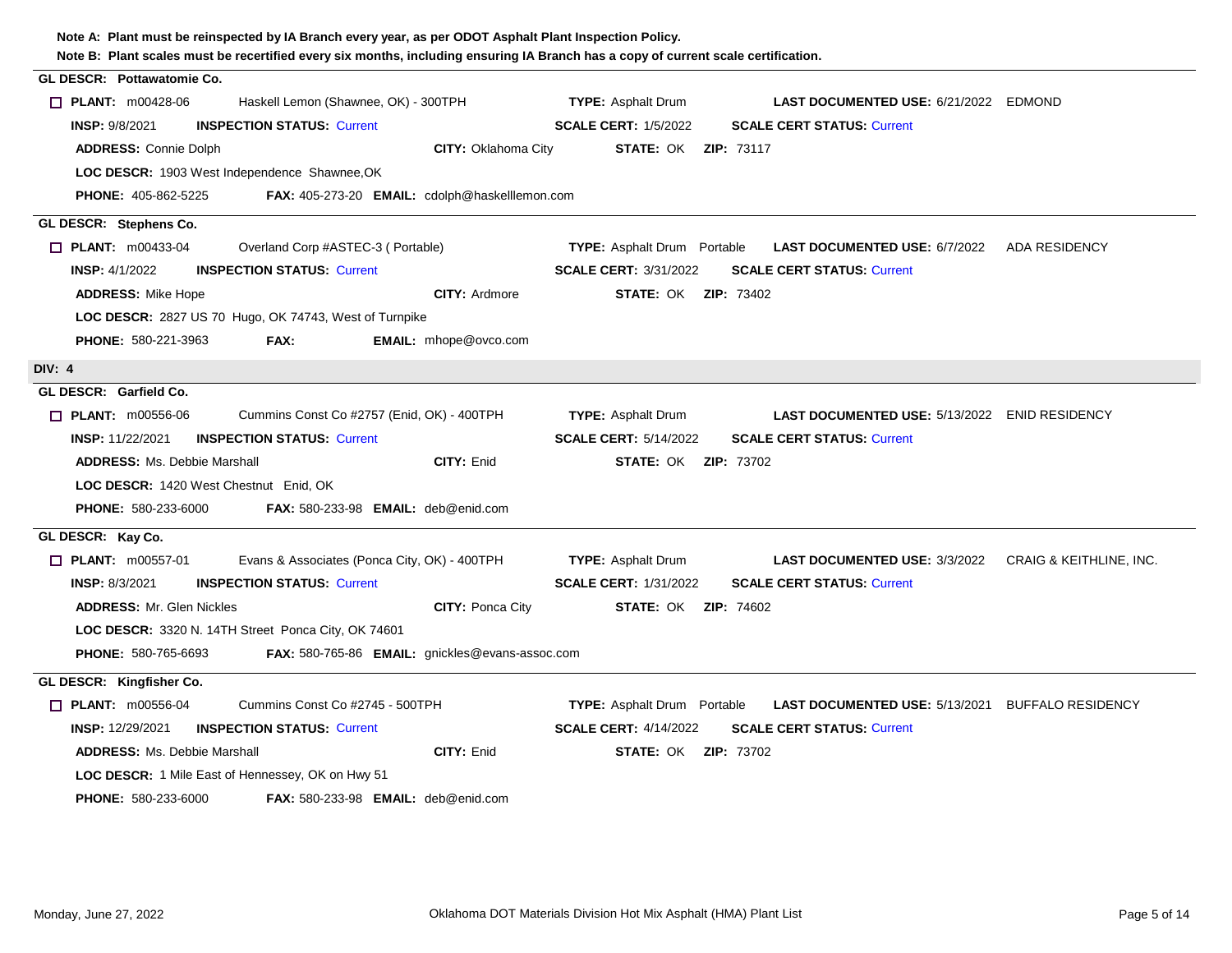| Note B: Plant scales must be recertified every six months, including ensuring IA Branch has a copy of current scale certification. |                                                                                               |  |
|------------------------------------------------------------------------------------------------------------------------------------|-----------------------------------------------------------------------------------------------|--|
| GL DESCR: Pottawatomie Co.                                                                                                         |                                                                                               |  |
| $\Box$ PLANT: m00428-06<br>Haskell Lemon (Shawnee, OK) - 300TPH                                                                    | <b>TYPE:</b> Asphalt Drum<br><b>LAST DOCUMENTED USE: 6/21/2022 EDMOND</b>                     |  |
| <b>INSPECTION STATUS: Current</b><br><b>INSP: 9/8/2021</b>                                                                         | <b>SCALE CERT: 1/5/2022</b><br><b>SCALE CERT STATUS: Current</b>                              |  |
| <b>ADDRESS: Connie Dolph</b><br><b>CITY: Oklahoma City</b>                                                                         | <b>STATE: OK ZIP: 73117</b>                                                                   |  |
| LOC DESCR: 1903 West Independence Shawnee, OK                                                                                      |                                                                                               |  |
| <b>PHONE: 405-862-5225</b><br>FAX: 405-273-20 EMAIL: cdolph@haskelllemon.com                                                       |                                                                                               |  |
| GL DESCR: Stephens Co.                                                                                                             |                                                                                               |  |
| $\Box$ PLANT: m00433-04<br>Overland Corp #ASTEC-3 (Portable)                                                                       | <b>TYPE:</b> Asphalt Drum Portable<br><b>LAST DOCUMENTED USE: 6/7/2022 ADA RESIDENCY</b>      |  |
| <b>INSP: 4/1/2022</b><br><b>INSPECTION STATUS: Current</b>                                                                         | <b>SCALE CERT: 3/31/2022</b><br><b>SCALE CERT STATUS: Current</b>                             |  |
| <b>ADDRESS: Mike Hope</b><br><b>CITY: Ardmore</b>                                                                                  | <b>STATE: OK ZIP: 73402</b>                                                                   |  |
| LOC DESCR: 2827 US 70 Hugo, OK 74743, West of Turnpike                                                                             |                                                                                               |  |
| PHONE: 580-221-3963<br>EMAIL: mhope@ovco.com<br>FAX:                                                                               |                                                                                               |  |
| <b>DIV: 4</b>                                                                                                                      |                                                                                               |  |
| GL DESCR: Garfield Co.                                                                                                             |                                                                                               |  |
| $\Box$ PLANT: m00556-06<br>Cummins Const Co #2757 (Enid, OK) - 400TPH                                                              | <b>TYPE: Asphalt Drum</b><br><b>LAST DOCUMENTED USE: 5/13/2022 ENID RESIDENCY</b>             |  |
| <b>INSP: 11/22/2021</b><br><b>INSPECTION STATUS: Current</b>                                                                       | <b>SCALE CERT: 5/14/2022</b><br><b>SCALE CERT STATUS: Current</b>                             |  |
| <b>ADDRESS: Ms. Debbie Marshall</b><br>CITY: Enid                                                                                  | <b>STATE: OK ZIP: 73702</b>                                                                   |  |
| LOC DESCR: 1420 West Chestnut Enid, OK                                                                                             |                                                                                               |  |
| <b>PHONE: 580-233-6000</b><br><b>FAX: 580-233-98 EMAIL: deb@enid.com</b>                                                           |                                                                                               |  |
| GL DESCR: Kay Co.                                                                                                                  |                                                                                               |  |
| $\Box$ PLANT: m00557-01<br>Evans & Associates (Ponca City, OK) - 400TPH                                                            | <b>TYPE:</b> Asphalt Drum<br><b>LAST DOCUMENTED USE: 3/3/2022 CRAIG &amp; KEITHLINE, INC.</b> |  |
| <b>INSP: 8/3/2021</b><br><b>INSPECTION STATUS: Current</b>                                                                         | <b>SCALE CERT STATUS: Current</b><br><b>SCALE CERT: 1/31/2022</b>                             |  |
| CITY: Ponca City<br><b>ADDRESS: Mr. Glen Nickles</b>                                                                               | <b>STATE: OK ZIP: 74602</b>                                                                   |  |
| LOC DESCR: 3320 N. 14TH Street Ponca City, OK 74601                                                                                |                                                                                               |  |
| FAX: 580-765-86 EMAIL: gnickles@evans-assoc.com<br><b>PHONE: 580-765-6693</b>                                                      |                                                                                               |  |
| GL DESCR: Kingfisher Co.                                                                                                           |                                                                                               |  |
| $\Box$ PLANT: $m00556-04$<br>Cummins Const Co #2745 - 500TPH                                                                       | <b>TYPE:</b> Asphalt Drum Portable<br><b>LAST DOCUMENTED USE: 5/13/2021 BUFFALO RESIDENCY</b> |  |
| <b>INSP: 12/29/2021</b><br><b>INSPECTION STATUS: Current</b>                                                                       | <b>SCALE CERT: 4/14/2022</b><br><b>SCALE CERT STATUS: Current</b>                             |  |
| CITY: Enid<br><b>ADDRESS: Ms. Debbie Marshall</b>                                                                                  | <b>STATE: OK ZIP: 73702</b>                                                                   |  |
| <b>LOC DESCR:</b> 1 Mile East of Hennessey, OK on Hwy 51                                                                           |                                                                                               |  |
| <b>PHONE: 580-233-6000</b><br><b>FAX: 580-233-98 EMAIL: deb@enid.com</b>                                                           |                                                                                               |  |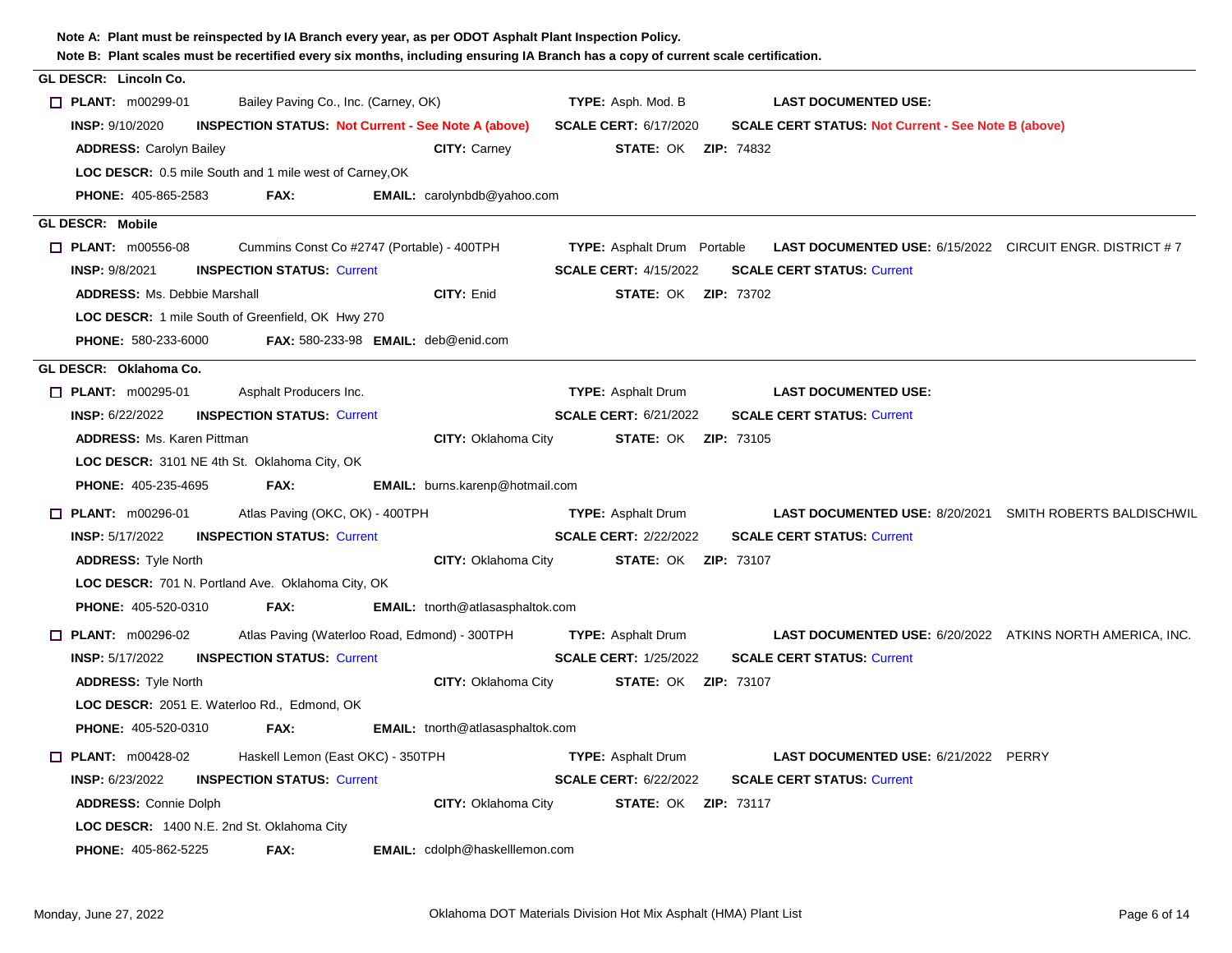| Note B: Plant scales must be recertified every six months, including ensuring IA Branch has a copy of current scale certification. |                                                            |                                         |                                    |                                                                 |  |
|------------------------------------------------------------------------------------------------------------------------------------|------------------------------------------------------------|-----------------------------------------|------------------------------------|-----------------------------------------------------------------|--|
| GL DESCR: Lincoln Co.                                                                                                              |                                                            |                                         |                                    |                                                                 |  |
| $\Box$ PLANT: m00299-01                                                                                                            | Bailey Paving Co., Inc. (Carney, OK)                       |                                         | TYPE: Asph. Mod. B                 | <b>LAST DOCUMENTED USE:</b>                                     |  |
| <b>INSP: 9/10/2020</b>                                                                                                             | <b>INSPECTION STATUS: Not Current - See Note A (above)</b> |                                         | <b>SCALE CERT: 6/17/2020</b>       | <b>SCALE CERT STATUS: Not Current - See Note B (above)</b>      |  |
| <b>ADDRESS: Carolyn Bailey</b>                                                                                                     |                                                            | <b>CITY: Carney</b>                     | <b>STATE: OK ZIP: 74832</b>        |                                                                 |  |
| <b>LOC DESCR:</b> 0.5 mile South and 1 mile west of Carney, OK                                                                     |                                                            |                                         |                                    |                                                                 |  |
| <b>PHONE: 405-865-2583</b>                                                                                                         | FAX:                                                       | EMAIL: carolynbdb@yahoo.com             |                                    |                                                                 |  |
| <b>GL DESCR: Mobile</b>                                                                                                            |                                                            |                                         |                                    |                                                                 |  |
| $\Box$ PLANT: m00556-08                                                                                                            | Cummins Const Co #2747 (Portable) - 400TPH                 |                                         | <b>TYPE:</b> Asphalt Drum Portable | <b>LAST DOCUMENTED USE: 6/15/2022 CIRCUIT ENGR. DISTRICT #7</b> |  |
| <b>INSP: 9/8/2021</b>                                                                                                              | <b>INSPECTION STATUS: Current</b>                          |                                         | <b>SCALE CERT: 4/15/2022</b>       | <b>SCALE CERT STATUS: Current</b>                               |  |
| <b>ADDRESS: Ms. Debbie Marshall</b>                                                                                                |                                                            | CITY: Enid                              | <b>STATE: OK ZIP: 73702</b>        |                                                                 |  |
| LOC DESCR: 1 mile South of Greenfield, OK Hwy 270                                                                                  |                                                            |                                         |                                    |                                                                 |  |
| PHONE: 580-233-6000                                                                                                                | FAX: $580-233-98$ EMAIL: $deb@enid.com$                    |                                         |                                    |                                                                 |  |
| GL DESCR: Oklahoma Co.                                                                                                             |                                                            |                                         |                                    |                                                                 |  |
| $\Box$ PLANT: m00295-01                                                                                                            | Asphalt Producers Inc.                                     |                                         | <b>TYPE: Asphalt Drum</b>          | <b>LAST DOCUMENTED USE:</b>                                     |  |
| <b>INSP: 6/22/2022</b>                                                                                                             | <b>INSPECTION STATUS: Current</b>                          |                                         | <b>SCALE CERT: 6/21/2022</b>       | <b>SCALE CERT STATUS: Current</b>                               |  |
| <b>ADDRESS: Ms. Karen Pittman</b>                                                                                                  |                                                            | CITY: Oklahoma City                     | <b>STATE: OK ZIP: 73105</b>        |                                                                 |  |
| LOC DESCR: 3101 NE 4th St. Oklahoma City, OK                                                                                       |                                                            |                                         |                                    |                                                                 |  |
| PHONE: 405-235-4695                                                                                                                | FAX:                                                       | EMAIL: burns.karenp@hotmail.com         |                                    |                                                                 |  |
| $\Box$ PLANT: m00296-01                                                                                                            | Atlas Paving (OKC, OK) - 400TPH                            |                                         | <b>TYPE:</b> Asphalt Drum          | <b>LAST DOCUMENTED USE: 8/20/2021 SMITH ROBERTS BALDISCHWIL</b> |  |
| <b>INSP: 5/17/2022</b>                                                                                                             | <b>INSPECTION STATUS: Current</b>                          |                                         | <b>SCALE CERT: 2/22/2022</b>       | <b>SCALE CERT STATUS: Current</b>                               |  |
| <b>ADDRESS: Tyle North</b>                                                                                                         |                                                            | <b>CITY: Oklahoma City</b>              | <b>STATE: OK ZIP: 73107</b>        |                                                                 |  |
| LOC DESCR: 701 N. Portland Ave. Oklahoma City, OK                                                                                  |                                                            |                                         |                                    |                                                                 |  |
| <b>PHONE: 405-520-0310</b>                                                                                                         | FAX:                                                       | <b>EMAIL:</b> tnorth@atlasasphaltok.com |                                    |                                                                 |  |
| $\Box$ PLANT: m00296-02                                                                                                            | Atlas Paving (Waterloo Road, Edmond) - 300TPH              |                                         | <b>TYPE: Asphalt Drum</b>          | LAST DOCUMENTED USE: 6/20/2022 ATKINS NORTH AMERICA, INC.       |  |
| INSP: 5/17/2022                                                                                                                    | <b>INSPECTION STATUS: Current</b>                          |                                         | <b>SCALE CERT: 1/25/2022</b>       | <b>SCALE CERT STATUS: Current</b>                               |  |
| <b>ADDRESS: Tyle North</b>                                                                                                         |                                                            | <b>CITY: Oklahoma City</b>              | <b>STATE: OK ZIP: 73107</b>        |                                                                 |  |
| LOC DESCR: 2051 E. Waterloo Rd., Edmond, OK                                                                                        |                                                            |                                         |                                    |                                                                 |  |
| <b>PHONE: 405-520-0310</b>                                                                                                         | FAX:                                                       | <b>EMAIL:</b> tnorth@atlasasphaltok.com |                                    |                                                                 |  |
| $\Box$ PLANT: m00428-02                                                                                                            | Haskell Lemon (East OKC) - 350TPH                          |                                         | <b>TYPE: Asphalt Drum</b>          | <b>LAST DOCUMENTED USE: 6/21/2022 PERRY</b>                     |  |
| <b>INSP: 6/23/2022</b>                                                                                                             | <b>INSPECTION STATUS: Current</b>                          |                                         | <b>SCALE CERT: 6/22/2022</b>       | <b>SCALE CERT STATUS: Current</b>                               |  |
| <b>ADDRESS: Connie Dolph</b>                                                                                                       |                                                            | <b>CITY: Oklahoma City</b>              | <b>STATE: OK ZIP: 73117</b>        |                                                                 |  |
| LOC DESCR: 1400 N.E. 2nd St. Oklahoma City                                                                                         |                                                            |                                         |                                    |                                                                 |  |
| <b>PHONE: 405-862-5225</b>                                                                                                         | FAX:                                                       | <b>EMAIL:</b> cdolph@haskelllemon.com   |                                    |                                                                 |  |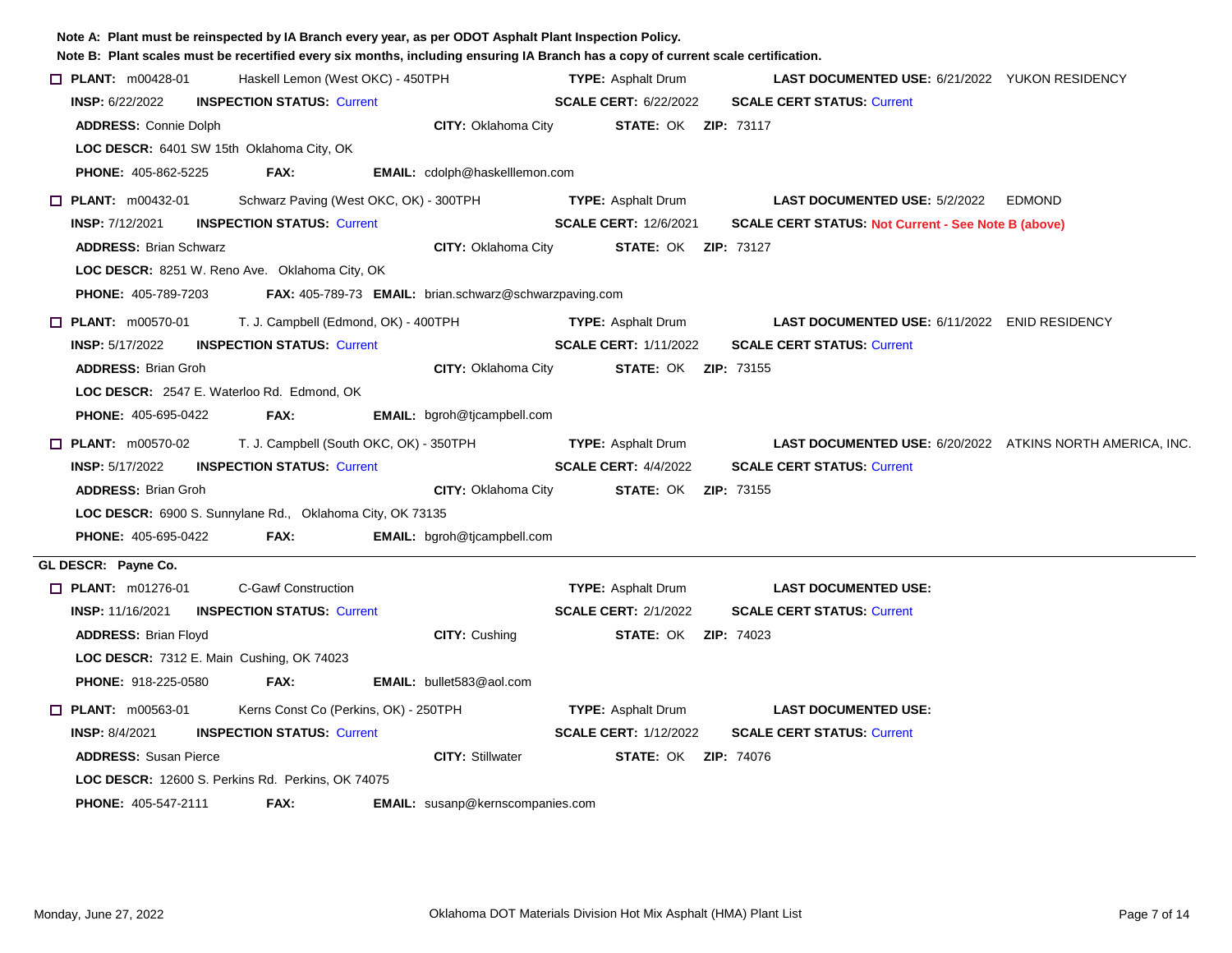| Note A: Plant must be reinspected by IA Branch every year, as per ODOT Asphalt Plant Inspection Policy.<br>Note B: Plant scales must be recertified every six months, including ensuring IA Branch has a copy of current scale certification. |                                         |                                                        |                              |                                                            |               |
|-----------------------------------------------------------------------------------------------------------------------------------------------------------------------------------------------------------------------------------------------|-----------------------------------------|--------------------------------------------------------|------------------------------|------------------------------------------------------------|---------------|
| $\Box$ PLANT: $m00428-01$                                                                                                                                                                                                                     | Haskell Lemon (West OKC) - 450TPH       |                                                        | <b>TYPE: Asphalt Drum</b>    | <b>LAST DOCUMENTED USE: 6/21/2022 YUKON RESIDENCY</b>      |               |
| <b>INSP: 6/22/2022</b>                                                                                                                                                                                                                        | <b>INSPECTION STATUS: Current</b>       |                                                        | <b>SCALE CERT: 6/22/2022</b> | <b>SCALE CERT STATUS: Current</b>                          |               |
| <b>ADDRESS: Connie Dolph</b>                                                                                                                                                                                                                  |                                         | <b>CITY: Oklahoma City</b>                             | <b>STATE: OK ZIP: 73117</b>  |                                                            |               |
| LOC DESCR: 6401 SW 15th Oklahoma City, OK                                                                                                                                                                                                     |                                         |                                                        |                              |                                                            |               |
| <b>PHONE: 405-862-5225</b>                                                                                                                                                                                                                    | FAX:                                    | <b>EMAIL:</b> cdolph@haskelllemon.com                  |                              |                                                            |               |
| $\Box$ PLANT: m00432-01                                                                                                                                                                                                                       | Schwarz Paving (West OKC, OK) - 300TPH  |                                                        | <b>TYPE: Asphalt Drum</b>    | <b>LAST DOCUMENTED USE: 5/2/2022</b>                       | <b>EDMOND</b> |
| <b>INSP: 7/12/2021</b>                                                                                                                                                                                                                        | <b>INSPECTION STATUS: Current</b>       |                                                        | <b>SCALE CERT: 12/6/2021</b> | <b>SCALE CERT STATUS: Not Current - See Note B (above)</b> |               |
| <b>ADDRESS: Brian Schwarz</b>                                                                                                                                                                                                                 |                                         | <b>CITY: Oklahoma City</b>                             | <b>STATE: OK ZIP: 73127</b>  |                                                            |               |
| LOC DESCR: 8251 W. Reno Ave. Oklahoma City, OK                                                                                                                                                                                                |                                         |                                                        |                              |                                                            |               |
| <b>PHONE: 405-789-7203</b>                                                                                                                                                                                                                    |                                         | FAX: 405-789-73 EMAIL: brian.schwarz@schwarzpaving.com |                              |                                                            |               |
| $\Box$ PLANT: m00570-01                                                                                                                                                                                                                       | T. J. Campbell (Edmond, OK) - 400TPH    |                                                        | <b>TYPE: Asphalt Drum</b>    | <b>LAST DOCUMENTED USE: 6/11/2022 ENID RESIDENCY</b>       |               |
| <b>INSP: 5/17/2022</b>                                                                                                                                                                                                                        | <b>INSPECTION STATUS. Current</b>       |                                                        | <b>SCALE CERT: 1/11/2022</b> | <b>SCALE CERT STATUS: Current</b>                          |               |
| <b>ADDRESS: Brian Groh</b>                                                                                                                                                                                                                    |                                         | <b>CITY: Oklahoma City</b>                             | <b>STATE: OK ZIP: 73155</b>  |                                                            |               |
| LOC DESCR: 2547 E. Waterloo Rd. Edmond, OK                                                                                                                                                                                                    |                                         |                                                        |                              |                                                            |               |
| <b>PHONE: 405-695-0422</b>                                                                                                                                                                                                                    | FAX:                                    | <b>EMAIL:</b> bgroh@tjcampbell.com                     |                              |                                                            |               |
| $\Box$ PLANT: m00570-02                                                                                                                                                                                                                       | T. J. Campbell (South OKC, OK) - 350TPH |                                                        | <b>TYPE: Asphalt Drum</b>    | LAST DOCUMENTED USE: 6/20/2022 ATKINS NORTH AMERICA, INC.  |               |
| <b>INSP: 5/17/2022</b>                                                                                                                                                                                                                        | <b>INSPECTION STATUS: Current</b>       |                                                        | <b>SCALE CERT: 4/4/2022</b>  | <b>SCALE CERT STATUS: Current</b>                          |               |
| <b>ADDRESS: Brian Groh</b>                                                                                                                                                                                                                    |                                         | <b>CITY: Oklahoma City</b>                             | <b>STATE: OK ZIP: 73155</b>  |                                                            |               |
| LOC DESCR: 6900 S. Sunnylane Rd., Oklahoma City, OK 73135                                                                                                                                                                                     |                                         |                                                        |                              |                                                            |               |
| <b>PHONE: 405-695-0422</b>                                                                                                                                                                                                                    | FAX:                                    | <b>EMAIL:</b> bgroh@tjcampbell.com                     |                              |                                                            |               |
| GL DESCR: Payne Co.                                                                                                                                                                                                                           |                                         |                                                        |                              |                                                            |               |
| <b>D</b> PLANT: m01276-01                                                                                                                                                                                                                     | <b>C-Gawf Construction</b>              |                                                        | <b>TYPE: Asphalt Drum</b>    | <b>LAST DOCUMENTED USE:</b>                                |               |
| <b>INSP: 11/16/2021</b>                                                                                                                                                                                                                       | <b>INSPECTION STATUS: Current</b>       |                                                        | <b>SCALE CERT: 2/1/2022</b>  | <b>SCALE CERT STATUS: Current</b>                          |               |
| <b>ADDRESS: Brian Floyd</b>                                                                                                                                                                                                                   |                                         | <b>CITY: Cushing</b>                                   | <b>STATE: OK ZIP: 74023</b>  |                                                            |               |
| <b>LOC DESCR: 7312 E. Main Cushing, OK 74023</b>                                                                                                                                                                                              |                                         |                                                        |                              |                                                            |               |
| <b>PHONE: 918-225-0580</b>                                                                                                                                                                                                                    | FAX:                                    | <b>EMAIL:</b> bullet583@aol.com                        |                              |                                                            |               |
| $\Box$ PLANT: m00563-01                                                                                                                                                                                                                       | Kerns Const Co (Perkins, OK) - 250TPH   |                                                        | <b>TYPE: Asphalt Drum</b>    | <b>LAST DOCUMENTED USE:</b>                                |               |
| <b>INSP: 8/4/2021</b>                                                                                                                                                                                                                         | <b>INSPECTION STATUS: Current</b>       |                                                        | <b>SCALE CERT: 1/12/2022</b> | <b>SCALE CERT STATUS: Current</b>                          |               |
| <b>ADDRESS: Susan Pierce</b>                                                                                                                                                                                                                  |                                         | <b>CITY: Stillwater</b>                                | <b>STATE: OK ZIP: 74076</b>  |                                                            |               |
| LOC DESCR: 12600 S. Perkins Rd. Perkins, OK 74075                                                                                                                                                                                             |                                         |                                                        |                              |                                                            |               |
| <b>PHONE: 405-547-2111</b>                                                                                                                                                                                                                    | FAX:                                    | EMAIL: susanp@kernscompanies.com                       |                              |                                                            |               |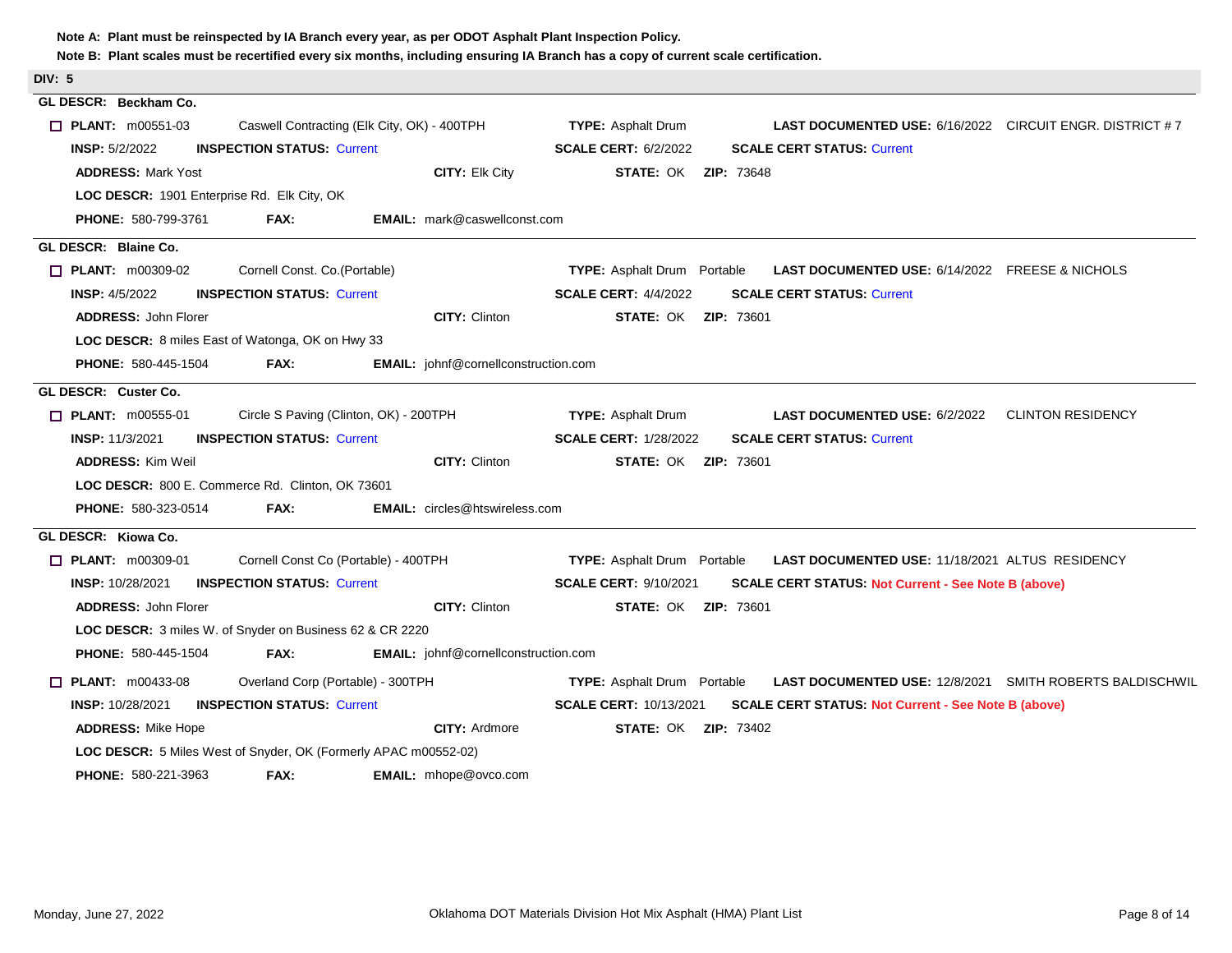| <b>DIV: 5</b>                                                               |                                                                                                       |
|-----------------------------------------------------------------------------|-------------------------------------------------------------------------------------------------------|
| GL DESCR: Beckham Co.                                                       |                                                                                                       |
| $\Box$ PLANT: m00551-03<br>Caswell Contracting (Elk City, OK) - 400TPH      | <b>TYPE: Asphalt Drum</b><br><b>LAST DOCUMENTED USE: 6/16/2022 CIRCUIT ENGR. DISTRICT #7</b>          |
| <b>INSPECTION STATUS: Current</b><br><b>INSP: 5/2/2022</b>                  | <b>SCALE CERT: 6/2/2022</b><br><b>SCALE CERT STATUS: Current</b>                                      |
| <b>ADDRESS: Mark Yost</b>                                                   | CITY: Elk City<br><b>STATE: OK ZIP: 73648</b>                                                         |
| LOC DESCR: 1901 Enterprise Rd. Elk City, OK                                 |                                                                                                       |
| <b>PHONE: 580-799-3761</b><br><b>FAX:</b>                                   | <b>EMAIL:</b> mark@caswellconst.com                                                                   |
| GL DESCR: Blaine Co.                                                        |                                                                                                       |
| $\Box$ PLANT: $m00309-02$<br>Cornell Const. Co.(Portable)                   | <b>TYPE:</b> Asphalt Drum Portable<br>LAST DOCUMENTED USE: 6/14/2022 FREESE & NICHOLS                 |
| <b>INSP:</b> 4/5/2022<br><b>INSPECTION STATUS: Current</b>                  | <b>SCALE CERT: 4/4/2022</b><br><b>SCALE CERT STATUS: Current</b>                                      |
| <b>ADDRESS: John Florer</b>                                                 | <b>CITY: Clinton</b><br><b>STATE: OK ZIP: 73601</b>                                                   |
| LOC DESCR: 8 miles East of Watonga, OK on Hwy 33                            |                                                                                                       |
| <b>PHONE: 580-445-1504</b><br>FAX:                                          | <b>EMAIL:</b> johnf@cornellconstruction.com                                                           |
| GL DESCR: Custer Co.                                                        |                                                                                                       |
| $\Box$ PLANT: m00555-01<br>Circle S Paving (Clinton, OK) - 200TPH           | <b>TYPE: Asphalt Drum</b><br><b>LAST DOCUMENTED USE: 6/2/2022</b><br><b>CLINTON RESIDENCY</b>         |
| <b>INSP: 11/3/2021</b><br><b>INSPECTION STATUS: Current</b>                 | <b>SCALE CERT: 1/28/2022</b><br><b>SCALE CERT STATUS: Current</b>                                     |
| <b>ADDRESS: Kim Weil</b>                                                    | <b>CITY: Clinton</b><br><b>STATE: OK ZIP: 73601</b>                                                   |
| LOC DESCR: 800 E. Commerce Rd. Clinton, OK 73601                            |                                                                                                       |
| FAX:<br><b>PHONE: 580-323-0514</b><br><b>EMAIL:</b> circles@htswireless.com |                                                                                                       |
| GL DESCR: Kiowa Co.                                                         |                                                                                                       |
| Cornell Const Co (Portable) - 400TPH<br>$\Box$ PLANT: m00309-01             | <b>TYPE:</b> Asphalt Drum Portable<br><b>LAST DOCUMENTED USE: 11/18/2021 ALTUS RESIDENCY</b>          |
| <b>INSPECTION STATUS: Current</b><br><b>INSP: 10/28/2021</b>                | <b>SCALE CERT: 9/10/2021</b><br><b>SCALE CERT STATUS: Not Current - See Note B (above)</b>            |
| <b>ADDRESS: John Florer</b>                                                 | <b>CITY: Clinton</b><br><b>STATE: OK ZIP: 73601</b>                                                   |
| LOC DESCR: 3 miles W. of Snyder on Business 62 & CR 2220                    |                                                                                                       |
| <b>PHONE: 580-445-1504</b><br>FAX:                                          | EMAIL: johnf@cornellconstruction.com                                                                  |
| $\Box$ PLANT: $m00433-08$<br>Overland Corp (Portable) - 300TPH              | <b>LAST DOCUMENTED USE: 12/8/2021 SMITH ROBERTS BALDISCHWIL</b><br><b>TYPE:</b> Asphalt Drum Portable |
| <b>INSP: 10/28/2021</b><br><b>INSPECTION STATUS: Current</b>                | <b>SCALE CERT: 10/13/2021</b><br><b>SCALE CERT STATUS: Not Current - See Note B (above)</b>           |
| <b>ADDRESS: Mike Hope</b>                                                   | <b>CITY: Ardmore</b><br><b>STATE: OK ZIP: 73402</b>                                                   |
| <b>LOC DESCR:</b> 5 Miles West of Snyder, OK (Formerly APAC m00552-02)      |                                                                                                       |
| FAX:<br>EMAIL: mhope@ovco.com<br><b>PHONE: 580-221-3963</b>                 |                                                                                                       |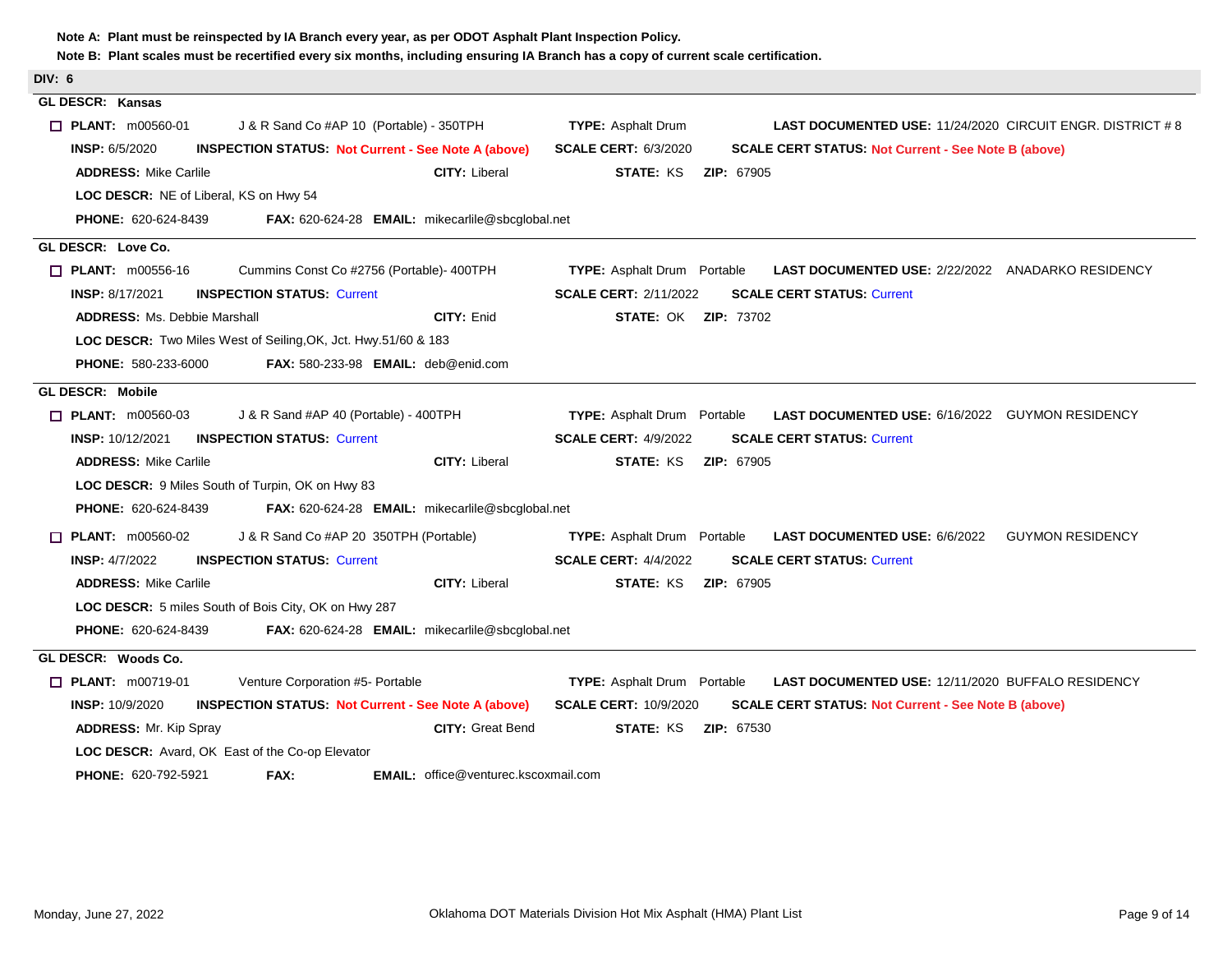| Note A: Plant must be reinspected by IA Branch every year, as per ODOT Asphalt Plant Inspection Policy.<br>Note B: Plant scales must be recertified every six months, including ensuring IA Branch has a copy of current scale certification. |                                                                                                       |
|-----------------------------------------------------------------------------------------------------------------------------------------------------------------------------------------------------------------------------------------------|-------------------------------------------------------------------------------------------------------|
| DIV: 6                                                                                                                                                                                                                                        |                                                                                                       |
| <b>GL DESCR: Kansas</b>                                                                                                                                                                                                                       |                                                                                                       |
| <b>T PLANT: m00560-01</b><br>J & R Sand Co #AP 10 (Portable) - 350TPH                                                                                                                                                                         | <b>TYPE: Asphalt Drum</b><br><b>LAST DOCUMENTED USE: 11/24/2020 CIRCUIT ENGR. DISTRICT #8</b>         |
| <b>INSP: 6/5/2020</b><br><b>INSPECTION STATUS: Not Current - See Note A (above)</b>                                                                                                                                                           | <b>SCALE CERT: 6/3/2020</b><br><b>SCALE CERT STATUS: Not Current - See Note B (above)</b>             |
| <b>ADDRESS: Mike Carlile</b><br><b>CITY: Liberal</b>                                                                                                                                                                                          | <b>STATE: KS</b><br><b>ZIP: 67905</b>                                                                 |
| LOC DESCR: NE of Liberal, KS on Hwy 54                                                                                                                                                                                                        |                                                                                                       |
| <b>PHONE: 620-624-8439</b><br>FAX: 620-624-28 EMAIL: mikecarlile@sbcglobal.net                                                                                                                                                                |                                                                                                       |
| GL DESCR: Love Co.                                                                                                                                                                                                                            |                                                                                                       |
| Cummins Const Co #2756 (Portable)- 400TPH<br>$\Box$ PLANT: m00556-16                                                                                                                                                                          | <b>TYPE:</b> Asphalt Drum Portable<br>LAST DOCUMENTED USE: 2/22/2022 ANADARKO RESIDENCY               |
| <b>INSP: 8/17/2021</b><br><b>INSPECTION STATUS: Current</b>                                                                                                                                                                                   | <b>SCALE CERT: 2/11/2022</b><br><b>SCALE CERT STATUS: Current</b>                                     |
| <b>ADDRESS: Ms. Debbie Marshall</b><br>CITY: Enid                                                                                                                                                                                             | <b>STATE: OK ZIP: 73702</b>                                                                           |
| LOC DESCR: Two Miles West of Seiling, OK, Jct. Hwy.51/60 & 183                                                                                                                                                                                |                                                                                                       |
| <b>PHONE: 580-233-6000</b><br>FAX: 580-233-98 EMAIL: deb@enid.com                                                                                                                                                                             |                                                                                                       |
| <b>GL DESCR: Mobile</b>                                                                                                                                                                                                                       |                                                                                                       |
| $\Box$ PLANT: m00560-03<br>J & R Sand #AP 40 (Portable) - 400TPH                                                                                                                                                                              | <b>LAST DOCUMENTED USE: 6/16/2022 GUYMON RESIDENCY</b><br><b>TYPE:</b> Asphalt Drum Portable          |
| <b>INSP: 10/12/2021</b><br><b>INSPECTION STATUS: Current</b>                                                                                                                                                                                  | <b>SCALE CERT STATUS: Current</b><br><b>SCALE CERT: 4/9/2022</b>                                      |
| <b>CITY: Liberal</b><br><b>ADDRESS: Mike Carlile</b>                                                                                                                                                                                          | <b>STATE: KS</b><br><b>ZIP: 67905</b>                                                                 |
| LOC DESCR: 9 Miles South of Turpin, OK on Hwy 83                                                                                                                                                                                              |                                                                                                       |
| <b>PHONE: 620-624-8439</b><br><b>FAX:</b> 620-624-28 <b>EMAIL:</b> mikecarlile@sbcglobal.net                                                                                                                                                  |                                                                                                       |
| <b>T PLANT: m00560-02</b><br>J & R Sand Co #AP 20 350TPH (Portable)                                                                                                                                                                           | <b>TYPE:</b> Asphalt Drum Portable<br><b>LAST DOCUMENTED USE: 6/6/2022</b><br><b>GUYMON RESIDENCY</b> |
| <b>INSPECTION STATUS: Current</b><br><b>INSP: 4/7/2022</b>                                                                                                                                                                                    | <b>SCALE CERT: 4/4/2022</b><br><b>SCALE CERT STATUS: Current</b>                                      |
| <b>ADDRESS: Mike Carlile</b><br><b>CITY: Liberal</b>                                                                                                                                                                                          | <b>STATE: KS</b><br><b>ZIP: 67905</b>                                                                 |
| LOC DESCR: 5 miles South of Bois City, OK on Hwy 287                                                                                                                                                                                          |                                                                                                       |
| <b>PHONE: 620-624-8439</b><br>FAX: 620-624-28 EMAIL: mikecarlile@sbcglobal.net                                                                                                                                                                |                                                                                                       |
| GL DESCR: Woods Co.                                                                                                                                                                                                                           |                                                                                                       |
| $\Box$ PLANT: $m00719-01$<br>Venture Corporation #5- Portable                                                                                                                                                                                 | <b>TYPE:</b> Asphalt Drum Portable<br>LAST DOCUMENTED USE: 12/11/2020 BUFFALO RESIDENCY               |
| <b>INSP: 10/9/2020</b><br><b>INSPECTION STATUS: Not Current - See Note A (above)</b>                                                                                                                                                          | <b>SCALE CERT: 10/9/2020</b><br><b>SCALE CERT STATUS: Not Current - See Note B (above)</b>            |
| <b>ADDRESS: Mr. Kip Spray</b><br><b>CITY: Great Bend</b>                                                                                                                                                                                      | <b>STATE: KS</b><br><b>ZIP: 67530</b>                                                                 |
| <b>LOC DESCR:</b> Avard, OK East of the Co-op Elevator                                                                                                                                                                                        |                                                                                                       |
| PHONE: 620-792-5921<br>FAX:<br><b>EMAIL:</b> office@venturec.kscoxmail.com                                                                                                                                                                    |                                                                                                       |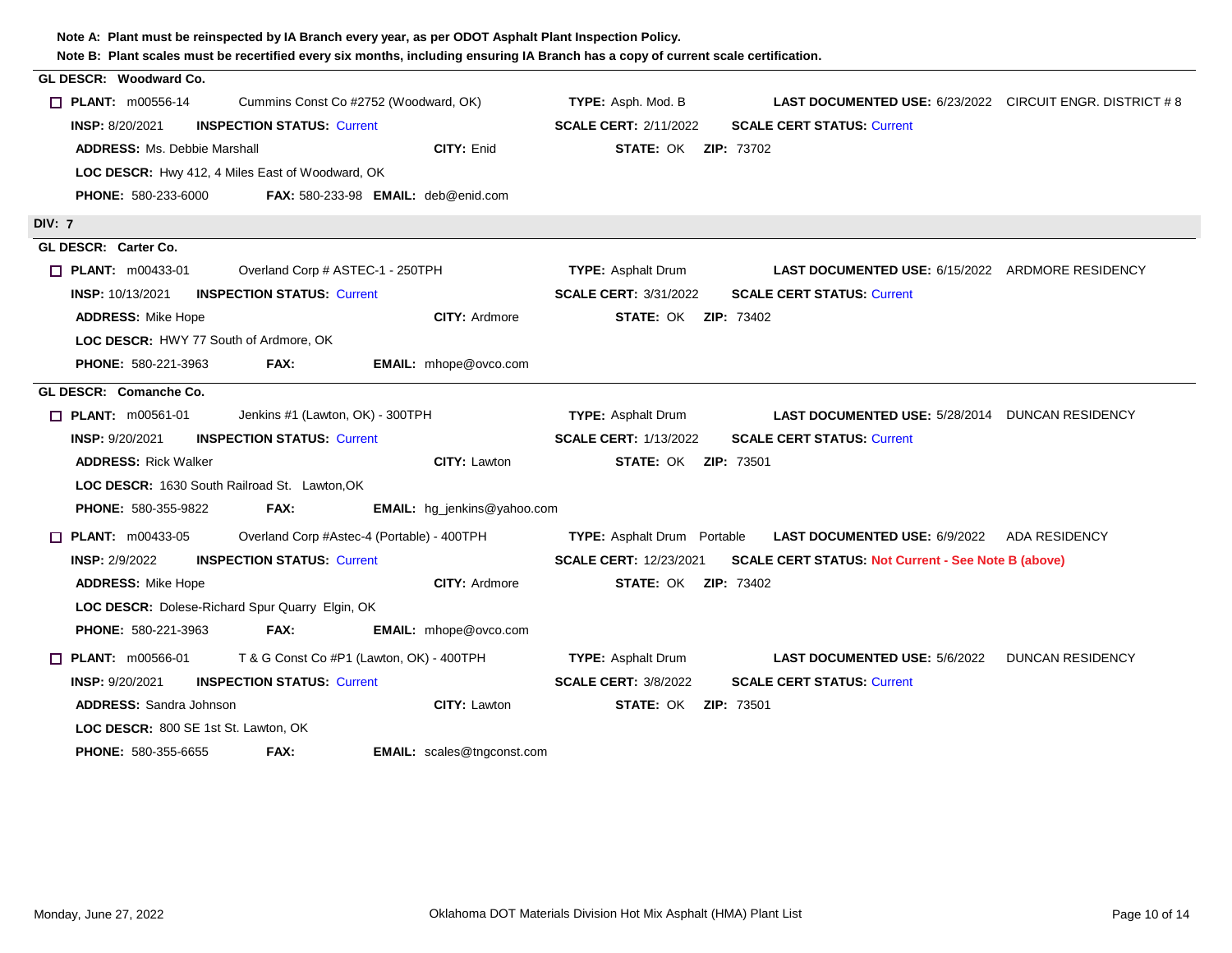| Note B: Plant scales must be recertified every six months, including ensuring IA Branch has a copy of current scale certification. |                                                                                              |
|------------------------------------------------------------------------------------------------------------------------------------|----------------------------------------------------------------------------------------------|
| GL DESCR: Woodward Co.                                                                                                             |                                                                                              |
| $\Box$ PLANT: $m00556-14$<br>Cummins Const Co #2752 (Woodward, OK)                                                                 | <b>TYPE:</b> Asph. Mod. B<br><b>LAST DOCUMENTED USE: 6/23/2022 CIRCUIT ENGR. DISTRICT #8</b> |
| <b>INSP: 8/20/2021</b><br><b>INSPECTION STATUS: Current</b>                                                                        | <b>SCALE CERT: 2/11/2022</b><br><b>SCALE CERT STATUS: Current</b>                            |
| CITY: Enid<br><b>ADDRESS: Ms. Debbie Marshall</b>                                                                                  | <b>STATE: OK ZIP: 73702</b>                                                                  |
| LOC DESCR: Hwy 412, 4 Miles East of Woodward, OK                                                                                   |                                                                                              |
| <b>PHONE: 580-233-6000</b><br>FAX: 580-233-98 EMAIL: deb@enid.com                                                                  |                                                                                              |
| <b>DIV: 7</b>                                                                                                                      |                                                                                              |
| GL DESCR: Carter Co.                                                                                                               |                                                                                              |
| $\Box$ PLANT: $m00433-01$<br>Overland Corp # ASTEC-1 - 250TPH                                                                      | <b>TYPE: Asphalt Drum</b><br><b>LAST DOCUMENTED USE: 6/15/2022 ARDMORE RESIDENCY</b>         |
| <b>INSP: 10/13/2021</b><br><b>INSPECTION STATUS: Current</b>                                                                       | <b>SCALE CERT: 3/31/2022</b><br><b>SCALE CERT STATUS: Current</b>                            |
| <b>ADDRESS: Mike Hope</b><br><b>CITY: Ardmore</b>                                                                                  | <b>STATE: OK ZIP: 73402</b>                                                                  |
| <b>LOC DESCR: HWY 77 South of Ardmore, OK</b>                                                                                      |                                                                                              |
| <b>PHONE: 580-221-3963</b><br>FAX:<br>EMAIL: mhope@ovco.com                                                                        |                                                                                              |
| GL DESCR: Comanche Co.                                                                                                             |                                                                                              |
| $\Box$ PLANT: m00561-01<br>Jenkins #1 (Lawton, OK) - 300TPH                                                                        | <b>TYPE:</b> Asphalt Drum<br><b>LAST DOCUMENTED USE: 5/28/2014 DUNCAN RESIDENCY</b>          |
| <b>INSP: 9/20/2021</b><br><b>INSPECTION STATUS: Current</b>                                                                        | <b>SCALE CERT: 1/13/2022</b><br><b>SCALE CERT STATUS: Current</b>                            |
| CITY: Lawton<br><b>ADDRESS: Rick Walker</b>                                                                                        | <b>STATE: OK ZIP: 73501</b>                                                                  |
| LOC DESCR: 1630 South Railroad St. Lawton, OK                                                                                      |                                                                                              |
| <b>PHONE: 580-355-9822</b><br>FAX:<br><b>EMAIL:</b> hg_jenkins@yahoo.com                                                           |                                                                                              |
| $\Box$ PLANT: m00433-05<br>Overland Corp #Astec-4 (Portable) - 400TPH                                                              | <b>TYPE:</b> Asphalt Drum Portable<br><b>LAST DOCUMENTED USE: 6/9/2022 ADA RESIDENCY</b>     |
| <b>INSPECTION STATUS: Current</b><br><b>INSP: 2/9/2022</b>                                                                         | <b>SCALE CERT: 12/23/2021</b><br><b>SCALE CERT STATUS: Not Current - See Note B (above)</b>  |
| <b>ADDRESS: Mike Hope</b><br><b>CITY: Ardmore</b>                                                                                  | <b>STATE: OK ZIP: 73402</b>                                                                  |
| LOC DESCR: Dolese-Richard Spur Quarry Elgin, OK                                                                                    |                                                                                              |
| <b>PHONE: 580-221-3963</b><br>FAX:<br>EMAIL: mhope@ovco.com                                                                        |                                                                                              |
| T & G Const Co #P1 (Lawton, OK) - 400TPH<br>$\Box$ PLANT: $m00566-01$                                                              | <b>TYPE: Asphalt Drum</b><br><b>LAST DOCUMENTED USE: 5/6/2022 DUNCAN RESIDENCY</b>           |
| <b>INSP: 9/20/2021</b><br><b>INSPECTION STATUS: Current</b>                                                                        | <b>SCALE CERT: 3/8/2022</b><br><b>SCALE CERT STATUS: Current</b>                             |
| <b>ADDRESS: Sandra Johnson</b><br>CITY: Lawton                                                                                     | <b>STATE: OK ZIP: 73501</b>                                                                  |
| LOC DESCR: 800 SE 1st St. Lawton, OK                                                                                               |                                                                                              |
| <b>EMAIL:</b> scales@tngconst.com<br><b>PHONE: 580-355-6655</b><br>FAX:                                                            |                                                                                              |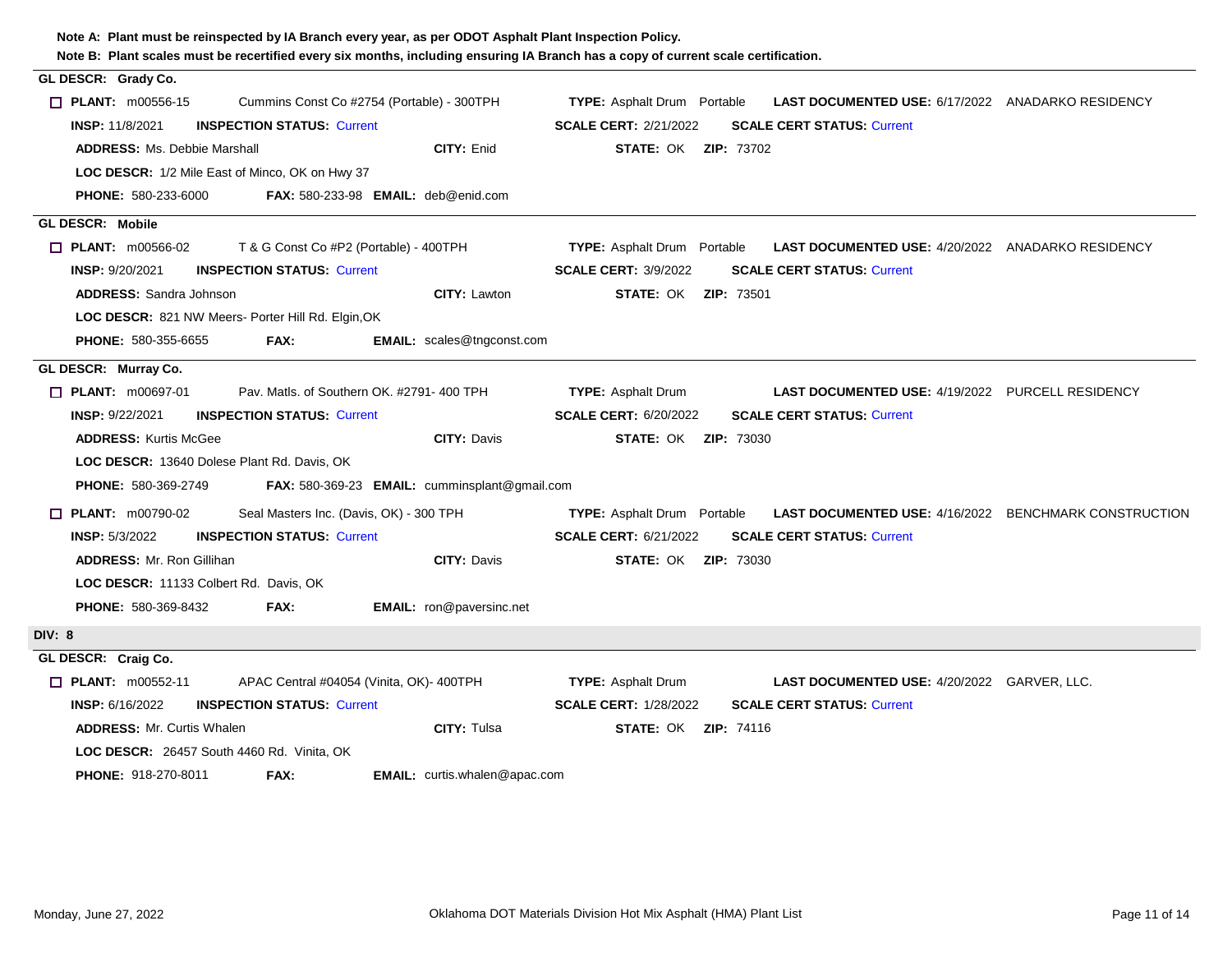| Note B: Plant scales must be recertified every six months, including ensuring IA Branch has a copy of current scale certification.<br>GL DESCR: Grady Co. |                                                                                                    |
|-----------------------------------------------------------------------------------------------------------------------------------------------------------|----------------------------------------------------------------------------------------------------|
| $\Box$ PLANT: m00556-15<br>Cummins Const Co #2754 (Portable) - 300TPH                                                                                     | <b>TYPE:</b> Asphalt Drum Portable<br><b>LAST DOCUMENTED USE: 6/17/2022 ANADARKO RESIDENCY</b>     |
| <b>INSP: 11/8/2021</b><br><b>INSPECTION STATUS: Current</b>                                                                                               | <b>SCALE CERT: 2/21/2022</b><br><b>SCALE CERT STATUS: Current</b>                                  |
| CITY: Enid<br><b>ADDRESS: Ms. Debbie Marshall</b>                                                                                                         | <b>STATE: OK ZIP: 73702</b>                                                                        |
| LOC DESCR: 1/2 Mile East of Minco, OK on Hwy 37                                                                                                           |                                                                                                    |
| <b>PHONE: 580-233-6000</b><br><b>FAX: 580-233-98 EMAIL: deb@enid.com</b>                                                                                  |                                                                                                    |
| <b>GL DESCR: Mobile</b>                                                                                                                                   |                                                                                                    |
| $\Box$ PLANT: m00566-02<br>T & G Const Co #P2 (Portable) - 400TPH                                                                                         | <b>TYPE:</b> Asphalt Drum Portable<br>LAST DOCUMENTED USE: 4/20/2022 ANADARKO RESIDENCY            |
| <b>INSP: 9/20/2021</b><br><b>INSPECTION STATUS: Current</b>                                                                                               | <b>SCALE CERT: 3/9/2022</b><br><b>SCALE CERT STATUS: Current</b>                                   |
| <b>ADDRESS: Sandra Johnson</b><br>CITY: Lawton                                                                                                            | <b>STATE: OK ZIP: 73501</b>                                                                        |
| LOC DESCR: 821 NW Meers- Porter Hill Rd. Elgin, OK                                                                                                        |                                                                                                    |
| <b>EMAIL:</b> scales@tngconst.com<br><b>PHONE: 580-355-6655</b><br>FAX:                                                                                   |                                                                                                    |
| GL DESCR: Murray Co.                                                                                                                                      |                                                                                                    |
| $\Box$ PLANT: $m00697-01$<br>Pav. Matls, of Southern OK, #2791-400 TPH                                                                                    | <b>TYPE: Asphalt Drum</b><br><b>LAST DOCUMENTED USE: 4/19/2022 PURCELL RESIDENCY</b>               |
| <b>INSP: 9/22/2021</b><br><b>INSPECTION STATUS: Current</b>                                                                                               | <b>SCALE CERT: 6/20/2022</b><br><b>SCALE CERT STATUS: Current</b>                                  |
| <b>CITY: Davis</b><br><b>ADDRESS: Kurtis McGee</b>                                                                                                        | <b>STATE: OK ZIP: 73030</b>                                                                        |
| LOC DESCR: 13640 Dolese Plant Rd. Davis, OK                                                                                                               |                                                                                                    |
| <b>PHONE: 580-369-2749</b><br>FAX: 580-369-23 EMAIL: cumminsplant@gmail.com                                                                               |                                                                                                    |
| Seal Masters Inc. (Davis, OK) - 300 TPH<br><b>PLANT: m00790-02</b><br>П                                                                                   | <b>TYPE:</b> Asphalt Drum Portable<br><b>LAST DOCUMENTED USE: 4/16/2022 BENCHMARK CONSTRUCTION</b> |
| <b>INSP: 5/3/2022</b><br><b>INSPECTION STATUS: Current</b>                                                                                                | <b>SCALE CERT: 6/21/2022</b><br><b>SCALE CERT STATUS: Current</b>                                  |
| <b>ADDRESS: Mr. Ron Gillihan</b><br><b>CITY: Davis</b>                                                                                                    | <b>STATE: OK ZIP: 73030</b>                                                                        |
| LOC DESCR: 11133 Colbert Rd. Davis, OK                                                                                                                    |                                                                                                    |
| EMAIL: ron@paversinc.net<br><b>PHONE: 580-369-8432</b><br>FAX:                                                                                            |                                                                                                    |
| <b>DIV: 8</b>                                                                                                                                             |                                                                                                    |
| GL DESCR: Craig Co.                                                                                                                                       |                                                                                                    |
| APAC Central #04054 (Vinita, OK)- 400TPH<br>$\Box$ PLANT: m00552-11                                                                                       | <b>TYPE: Asphalt Drum</b><br><b>LAST DOCUMENTED USE: 4/20/2022 GARVER, LLC.</b>                    |
| <b>INSP: 6/16/2022</b><br><b>INSPECTION STATUS: Current</b>                                                                                               | <b>SCALE CERT: 1/28/2022</b><br><b>SCALE CERT STATUS: Current</b>                                  |
| CITY: Tulsa<br><b>ADDRESS: Mr. Curtis Whalen</b>                                                                                                          | <b>STATE: OK ZIP: 74116</b>                                                                        |
| LOC DESCR: 26457 South 4460 Rd. Vinita, OK                                                                                                                |                                                                                                    |
| FAX:<br><b>PHONE: 918-270-8011</b><br><b>EMAIL:</b> curtis.whalen@apac.com                                                                                |                                                                                                    |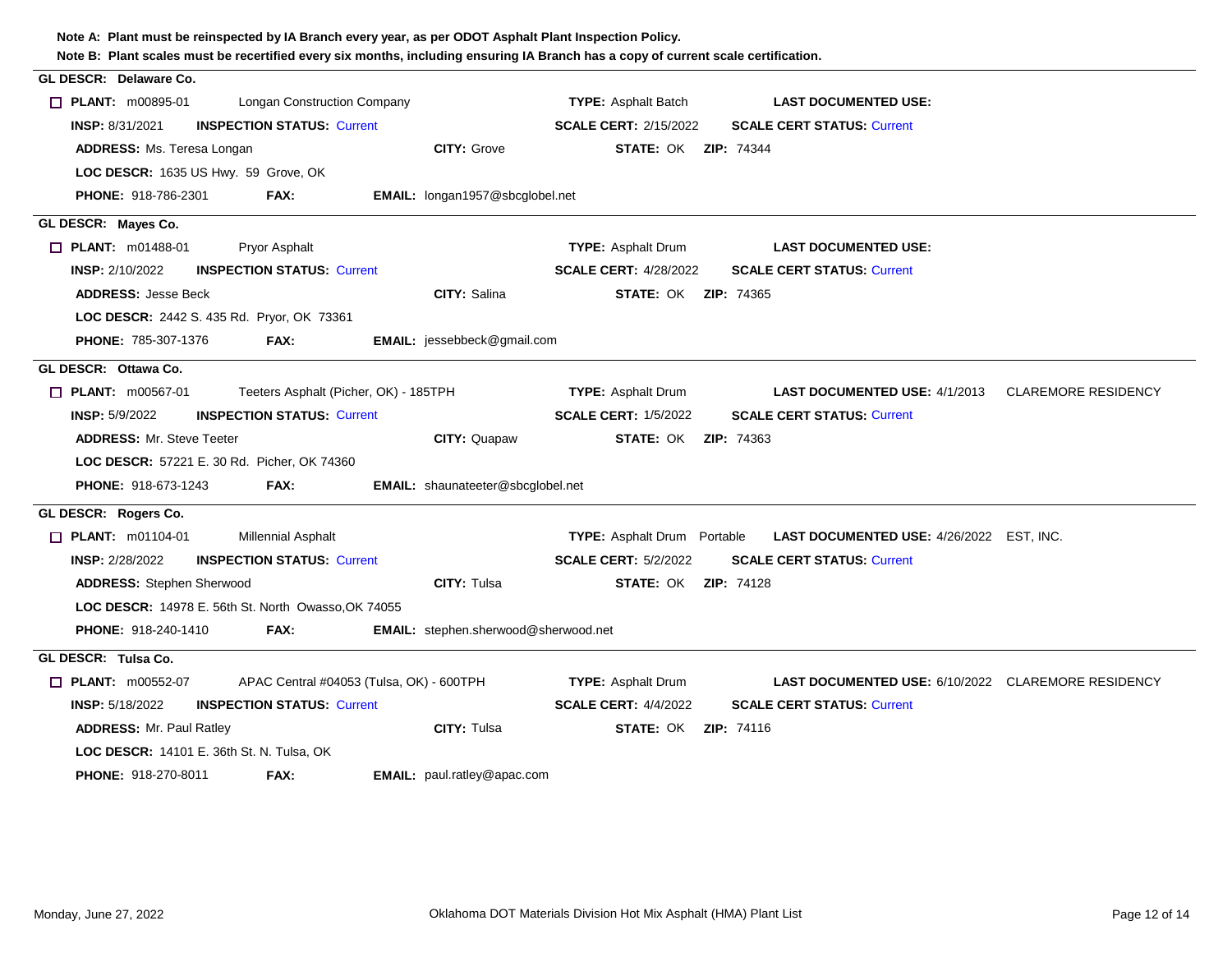| Note B: Plant scales must be recertified every six months, including ensuring IA Branch has a copy of current scale certification. |                                                                                       |
|------------------------------------------------------------------------------------------------------------------------------------|---------------------------------------------------------------------------------------|
| GL DESCR: Delaware Co.                                                                                                             |                                                                                       |
| $\Box$ PLANT: $m00895-01$<br><b>Longan Construction Company</b>                                                                    | <b>TYPE: Asphalt Batch</b><br><b>LAST DOCUMENTED USE:</b>                             |
| <b>INSPECTION STATUS: Current</b><br><b>INSP: 8/31/2021</b>                                                                        | <b>SCALE CERT: 2/15/2022</b><br><b>SCALE CERT STATUS: Current</b>                     |
| <b>CITY: Grove</b><br><b>ADDRESS: Ms. Teresa Longan</b>                                                                            | <b>STATE: OK ZIP: 74344</b>                                                           |
| LOC DESCR: 1635 US Hwy. 59 Grove, OK                                                                                               |                                                                                       |
| <b>PHONE: 918-786-2301</b><br>FAX:<br><b>EMAIL:</b> longan1957@sbcglobel.net                                                       |                                                                                       |
| GL DESCR: Mayes Co.                                                                                                                |                                                                                       |
| $\Box$ PLANT: m01488-01<br>Pryor Asphalt                                                                                           | <b>TYPE: Asphalt Drum</b><br><b>LAST DOCUMENTED USE:</b>                              |
| <b>INSP: 2/10/2022</b><br><b>INSPECTION STATUS: Current</b>                                                                        | <b>SCALE CERT: 4/28/2022</b><br><b>SCALE CERT STATUS: Current</b>                     |
| CITY: Salina<br><b>ADDRESS: Jesse Beck</b>                                                                                         | <b>STATE: OK ZIP: 74365</b>                                                           |
| <b>LOC DESCR: 2442 S. 435 Rd. Pryor, OK 73361</b>                                                                                  |                                                                                       |
| PHONE: 785-307-1376<br>EMAIL: jessebbeck@gmail.com<br>FAX:                                                                         |                                                                                       |
| GL DESCR: Ottawa Co.                                                                                                               |                                                                                       |
| $\Box$ PLANT: $m00567-01$<br>Teeters Asphalt (Picher, OK) - 185TPH                                                                 | <b>TYPE: Asphalt Drum</b><br><b>LAST DOCUMENTED USE: 4/1/2013 CLAREMORE RESIDENCY</b> |
| <b>INSP: 5/9/2022</b><br><b>INSPECTION STATUS: Current</b>                                                                         | <b>SCALE CERT: 1/5/2022</b><br><b>SCALE CERT STATUS: Current</b>                      |
| <b>ADDRESS: Mr. Steve Teeter</b><br>CITY: Quapaw                                                                                   | <b>STATE: OK ZIP: 74363</b>                                                           |
| LOC DESCR: 57221 E. 30 Rd. Picher, OK 74360                                                                                        |                                                                                       |
| PHONE: 918-673-1243<br>EMAIL: shaunateeter@sbcglobel.net<br>FAX:                                                                   |                                                                                       |
| GL DESCR: Rogers Co.                                                                                                               |                                                                                       |
| $\Box$ PLANT: m01104-01<br><b>Millennial Asphalt</b>                                                                               | TYPE: Asphalt Drum Portable<br>LAST DOCUMENTED USE: 4/26/2022 EST, INC.               |
| <b>INSP: 2/28/2022</b><br><b>INSPECTION STATUS: Current</b>                                                                        | <b>SCALE CERT: 5/2/2022</b><br><b>SCALE CERT STATUS: Current</b>                      |
| CITY: Tulsa<br><b>ADDRESS: Stephen Sherwood</b>                                                                                    | <b>STATE: OK ZIP: 74128</b>                                                           |
| <b>LOC DESCR: 14978 E. 56th St. North Owasso, OK 74055</b>                                                                         |                                                                                       |
| <b>PHONE: 918-240-1410</b><br>FAX:<br><b>EMAIL:</b> stephen.sherwood@sherwood.net                                                  |                                                                                       |
| GL DESCR: Tulsa Co.                                                                                                                |                                                                                       |
| $\Box$ PLANT: m00552-07<br>APAC Central #04053 (Tulsa, OK) - 600TPH                                                                | <b>TYPE: Asphalt Drum</b><br>LAST DOCUMENTED USE: 6/10/2022 CLAREMORE RESIDENCY       |
| <b>INSP: 5/18/2022</b><br><b>INSPECTION STATUS: Current</b>                                                                        | <b>SCALE CERT: 4/4/2022</b><br><b>SCALE CERT STATUS: Current</b>                      |
| <b>CITY: Tulsa</b><br><b>ADDRESS: Mr. Paul Ratley</b>                                                                              | <b>STATE: OK ZIP: 74116</b>                                                           |
| <b>LOC DESCR: 14101 E. 36th St. N. Tulsa, OK</b>                                                                                   |                                                                                       |
| FAX:<br>EMAIL: paul.ratley@apac.com<br><b>PHONE: 918-270-8011</b>                                                                  |                                                                                       |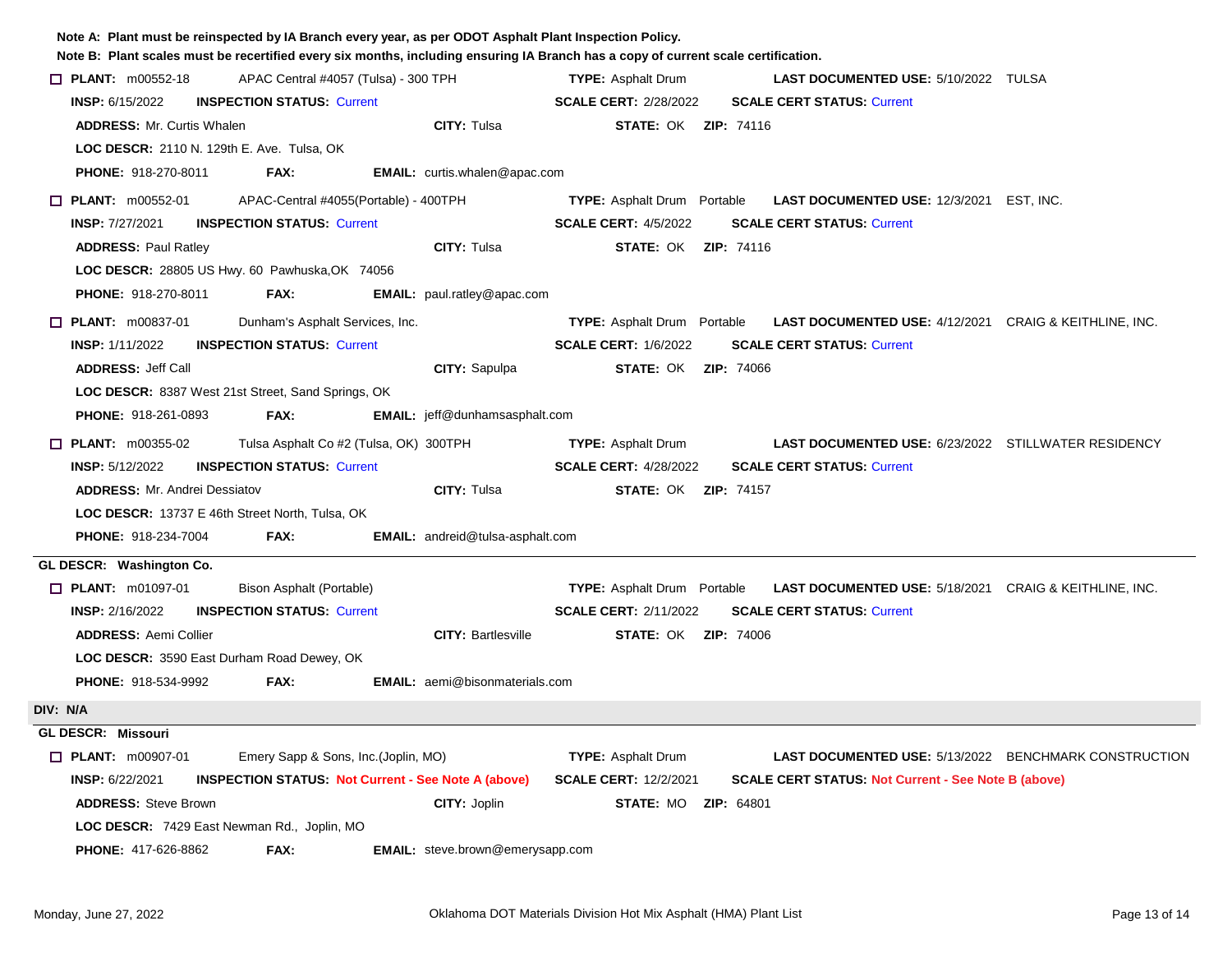| Note A: Plant must be reinspected by IA Branch every year, as per ODOT Asphalt Plant Inspection Policy. |                                                            | Note B: Plant scales must be recertified every six months, including ensuring IA Branch has a copy of current scale certification. |  |  |  |  |
|---------------------------------------------------------------------------------------------------------|------------------------------------------------------------|------------------------------------------------------------------------------------------------------------------------------------|--|--|--|--|
| $\Box$ PLANT: m00552-18<br>APAC Central #4057 (Tulsa) - 300 TPH                                         |                                                            | <b>TYPE: Asphalt Drum</b><br><b>LAST DOCUMENTED USE: 5/10/2022 TULSA</b>                                                           |  |  |  |  |
| <b>INSP: 6/15/2022</b><br><b>INSPECTION STATUS: Current</b>                                             |                                                            | <b>SCALE CERT: 2/28/2022</b><br><b>SCALE CERT STATUS: Current</b>                                                                  |  |  |  |  |
| <b>ADDRESS: Mr. Curtis Whalen</b>                                                                       | CITY: Tulsa                                                | <b>STATE: OK ZIP: 74116</b>                                                                                                        |  |  |  |  |
| LOC DESCR: 2110 N. 129th E. Ave. Tulsa, OK                                                              |                                                            |                                                                                                                                    |  |  |  |  |
| <b>PHONE: 918-270-8011</b><br>FAX:                                                                      | <b>EMAIL:</b> curtis.whalen@apac.com                       |                                                                                                                                    |  |  |  |  |
| $\Box$ PLANT: m00552-01                                                                                 | APAC-Central #4055(Portable) - 400TPH                      | LAST DOCUMENTED USE: 12/3/2021 EST, INC.<br><b>TYPE:</b> Asphalt Drum Portable                                                     |  |  |  |  |
| <b>INSP: 7/27/2021</b><br><b>INSPECTION STATUS: Current</b>                                             |                                                            | <b>SCALE CERT: 4/5/2022</b><br><b>SCALE CERT STATUS: Current</b>                                                                   |  |  |  |  |
| <b>ADDRESS: Paul Ratley</b>                                                                             | <b>CITY: Tulsa</b>                                         | <b>STATE: OK ZIP: 74116</b>                                                                                                        |  |  |  |  |
| LOC DESCR: 28805 US Hwy. 60 Pawhuska, OK 74056                                                          |                                                            |                                                                                                                                    |  |  |  |  |
| FAX:<br><b>PHONE: 918-270-8011</b>                                                                      | EMAIL: paul.ratley@apac.com                                |                                                                                                                                    |  |  |  |  |
| $\Box$ PLANT: m00837-01                                                                                 | Dunham's Asphalt Services, Inc.                            | <b>TYPE:</b> Asphalt Drum Portable<br><b>LAST DOCUMENTED USE: 4/12/2021 CRAIG &amp; KEITHLINE, INC.</b>                            |  |  |  |  |
| <b>INSP: 1/11/2022</b><br><b>INSPECTION STATUS: Current</b>                                             |                                                            | <b>SCALE CERT: 1/6/2022</b><br><b>SCALE CERT STATUS: Current</b>                                                                   |  |  |  |  |
| <b>ADDRESS: Jeff Call</b>                                                                               | CITY: Sapulpa                                              | <b>STATE: OK ZIP: 74066</b>                                                                                                        |  |  |  |  |
| LOC DESCR: 8387 West 21st Street, Sand Springs, OK                                                      |                                                            |                                                                                                                                    |  |  |  |  |
| PHONE: 918-261-0893<br>FAX:                                                                             | <b>EMAIL:</b> jeff@dunhamsasphalt.com                      |                                                                                                                                    |  |  |  |  |
| $\Box$ PLANT: m00355-02                                                                                 | Tulsa Asphalt Co #2 (Tulsa, OK) 300TPH                     | <b>TYPE: Asphalt Drum</b><br><b>LAST DOCUMENTED USE: 6/23/2022 STILLWATER RESIDENCY</b>                                            |  |  |  |  |
| <b>INSP: 5/12/2022</b><br><b>INSPECTION STATUS: Current</b>                                             |                                                            | <b>SCALE CERT: 4/28/2022</b><br><b>SCALE CERT STATUS: Current</b>                                                                  |  |  |  |  |
| <b>ADDRESS: Mr. Andrei Dessiatov</b>                                                                    | <b>CITY: Tulsa</b>                                         | <b>STATE: OK ZIP: 74157</b>                                                                                                        |  |  |  |  |
| <b>LOC DESCR: 13737 E 46th Street North, Tulsa, OK</b>                                                  |                                                            |                                                                                                                                    |  |  |  |  |
| <b>PHONE: 918-234-7004</b><br>FAX:                                                                      | <b>EMAIL:</b> andreid@tulsa-asphalt.com                    |                                                                                                                                    |  |  |  |  |
| GL DESCR: Washington Co.                                                                                |                                                            |                                                                                                                                    |  |  |  |  |
| $\Box$ PLANT: m01097-01<br>Bison Asphalt (Portable)                                                     |                                                            | <b>LAST DOCUMENTED USE: 5/18/2021 CRAIG &amp; KEITHLINE, INC.</b><br><b>TYPE:</b> Asphalt Drum Portable                            |  |  |  |  |
| <b>INSPECTION STATUS: Current</b><br><b>INSP: 2/16/2022</b>                                             |                                                            | <b>SCALE CERT STATUS: Current</b><br><b>SCALE CERT: 2/11/2022</b>                                                                  |  |  |  |  |
| <b>ADDRESS: Aemi Collier</b>                                                                            | <b>CITY: Bartlesville</b>                                  | <b>STATE: OK ZIP: 74006</b>                                                                                                        |  |  |  |  |
| LOC DESCR: 3590 East Durham Road Dewey, OK                                                              |                                                            |                                                                                                                                    |  |  |  |  |
| PHONE: 918-534-9992<br>FAX:                                                                             | <b>EMAIL:</b> aemi@bisonmaterials.com                      |                                                                                                                                    |  |  |  |  |
| DIV: N/A                                                                                                |                                                            |                                                                                                                                    |  |  |  |  |
| GL DESCR: Missouri                                                                                      |                                                            |                                                                                                                                    |  |  |  |  |
| <b>D</b> PLANT: m00907-01                                                                               | Emery Sapp & Sons, Inc. (Joplin, MO)                       | <b>TYPE:</b> Asphalt Drum<br><b>LAST DOCUMENTED USE: 5/13/2022 BENCHMARK CONSTRUCTION</b>                                          |  |  |  |  |
| <b>INSP: 6/22/2021</b>                                                                                  | <b>INSPECTION STATUS: Not Current - See Note A (above)</b> | <b>SCALE CERT: 12/2/2021</b><br><b>SCALE CERT STATUS: Not Current - See Note B (above)</b>                                         |  |  |  |  |
| <b>ADDRESS: Steve Brown</b>                                                                             | CITY: Joplin                                               | <b>STATE: MO ZIP: 64801</b>                                                                                                        |  |  |  |  |
| LOC DESCR: 7429 East Newman Rd., Joplin, MO                                                             |                                                            |                                                                                                                                    |  |  |  |  |
| <b>EMAIL:</b> steve.brown@emerysapp.com<br><b>PHONE: 417-626-8862</b><br>FAX:                           |                                                            |                                                                                                                                    |  |  |  |  |